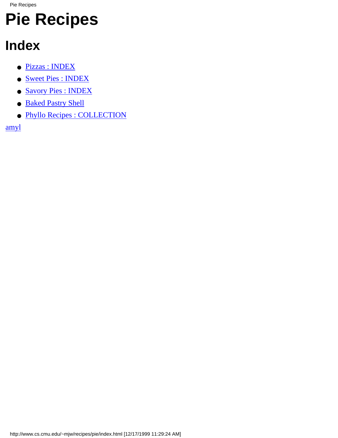# **Pie Recipes**

### **Index**

- [Pizzas : INDEX](#page-1-0)
- [Sweet Pies : INDEX](#page-17-0)
- [Savory Pies : INDEX](#page-83-0)
- **[Baked Pastry Shell](#page-91-0)**
- [Phyllo Recipes : COLLECTION](#page-92-0)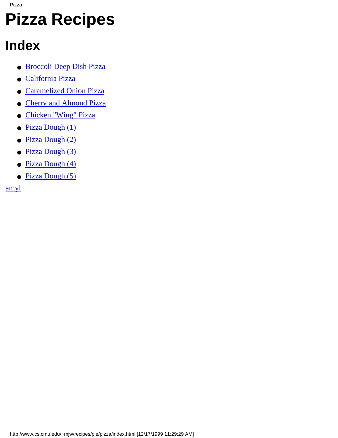### <span id="page-1-0"></span>**Pizza Recipes** Pizza

### **Index**

- [Broccoli Deep Dish Pizza](#page-2-0)
- [California Pizza](#page-4-0)
- [Caramelized Onion Pizza](#page-6-0)
- [Cherry and Almond Pizza](http://www.cs.cmu.edu/~mjw/recipes/pie/dessert/cherry-almond-pizza.html)
- [Chicken "Wing" Pizza](http://www.cs.cmu.edu/~mjw/recipes/pie/meat/chicken/chick-pizza.html)
- [Pizza Dough \(1\)](#page-8-0)
- [Pizza Dough \(2\)](#page-9-0)
- [Pizza Dough \(3\)](#page-11-0)
- [Pizza Dough \(4\)](#page-12-0)
- [Pizza Dough \(5\)](#page-15-0)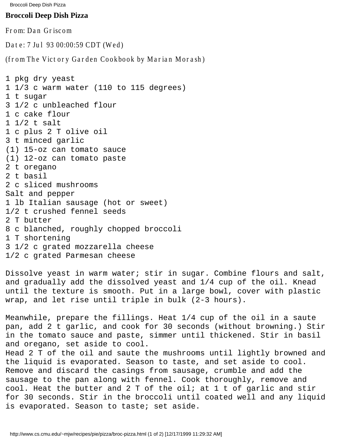<span id="page-2-0"></span>Broccoli Deep Dish Pizza

### **Broccoli Deep Dish Pizza**

From: Dan Griscom

Date: 7 Jul 93 00:00:59 CDT (Wed)

(from The Victory Garden Cookbook by Marian Morash)

```
1 pkg dry yeast
1 1/3 c warm water (110 to 115 degrees)
1 t sugar
3 1/2 c unbleached flour
1 c cake flour
1 1/2 t salt
1 c plus 2 T olive oil
3 t minced garlic
(1) 15-oz can tomato sauce
(1) 12-oz can tomato paste
2 t oregano
2 t basil
2 c sliced mushrooms
Salt and pepper
1 lb Italian sausage (hot or sweet)
1/2 t crushed fennel seeds
2 T butter
8 c blanched, roughly chopped broccoli
1 T shortening
3 1/2 c grated mozzarella cheese
1/2 c grated Parmesan cheese
```
Dissolve yeast in warm water; stir in sugar. Combine flours and salt, and gradually add the dissolved yeast and 1/4 cup of the oil. Knead until the texture is smooth. Put in a large bowl, cover with plastic wrap, and let rise until triple in bulk (2-3 hours).

Meanwhile, prepare the fillings. Heat 1/4 cup of the oil in a saute pan, add 2 t garlic, and cook for 30 seconds (without browning.) Stir in the tomato sauce and paste, simmer until thickened. Stir in basil and oregano, set aside to cool.

Head 2 T of the oil and saute the mushrooms until lightly browned and the liquid is evaporated. Season to taste, and set aside to cool. Remove and discard the casings from sausage, crumble and add the sausage to the pan along with fennel. Cook thoroughly, remove and cool. Heat the butter and 2 T of the oil; at 1 t of garlic and stir for 30 seconds. Stir in the broccoli until coated well and any liquid is evaporated. Season to taste; set aside.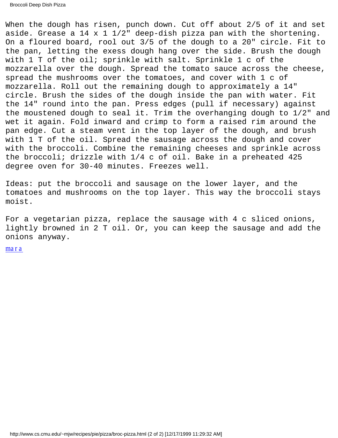Broccoli Deep Dish Pizza

When the dough has risen, punch down. Cut off about 2/5 of it and set aside. Grease a 14 x 1 1/2" deep-dish pizza pan with the shortening. On a floured board, rool out 3/5 of the dough to a 20" circle. Fit to the pan, letting the exess dough hang over the side. Brush the dough with 1 T of the oil; sprinkle with salt. Sprinkle 1 c of the mozzarella over the dough. Spread the tomato sauce across the cheese, spread the mushrooms over the tomatoes, and cover with 1 c of mozzarella. Roll out the remaining dough to approximately a 14" circle. Brush the sides of the dough inside the pan with water. Fit the 14" round into the pan. Press edges (pull if necessary) against the moustened dough to seal it. Trim the overhanging dough to 1/2" and wet it again. Fold inward and crimp to form a raised rim around the pan edge. Cut a steam vent in the top layer of the dough, and brush with 1 T of the oil. Spread the sausage across the dough and cover with the broccoli. Combine the remaining cheeses and sprinkle across the broccoli; drizzle with 1/4 c of oil. Bake in a preheated 425 degree oven for 30-40 minutes. Freezes well.

Ideas: put the broccoli and sausage on the lower layer, and the tomatoes and mushrooms on the top layer. This way the broccoli stays moist.

For a vegetarian pizza, replace the sausage with 4 c sliced onions, lightly browned in 2 T oil. Or, you can keep the sausage and add the onions anyway.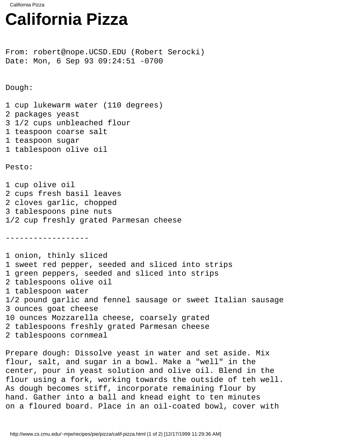<span id="page-4-0"></span>California Pizza

# **California Pizza**

From: robert@nope.UCSD.EDU (Robert Serocki) Date: Mon, 6 Sep 93 09:24:51 -0700

Dough:

```
1 cup lukewarm water (110 degrees)
2 packages yeast
3 1/2 cups unbleached flour
1 teaspoon coarse salt
1 teaspoon sugar
1 tablespoon olive oil
Pesto:
1 cup olive oil
2 cups fresh basil leaves
2 cloves garlic, chopped
3 tablespoons pine nuts
1/2 cup freshly grated Parmesan cheese
 ------------------
1 onion, thinly sliced
1 sweet red pepper, seeded and sliced into strips
1 green peppers, seeded and sliced into strips
2 tablespoons olive oil
1 tablespoon water
1/2 pound garlic and fennel sausage or sweet Italian sausage
3 ounces goat cheese
10 ounces Mozzarella cheese, coarsely grated
2 tablespoons freshly grated Parmesan cheese
2 tablespoons cornmeal
```
Prepare dough: Dissolve yeast in water and set aside. Mix flour, salt, and sugar in a bowl. Make a "well" in the center, pour in yeast solution and olive oil. Blend in the flour using a fork, working towards the outside of teh well. As dough becomes stiff, incorporate remaining flour by hand. Gather into a ball and knead eight to ten minutes on a floured board. Place in an oil-coated bowl, cover with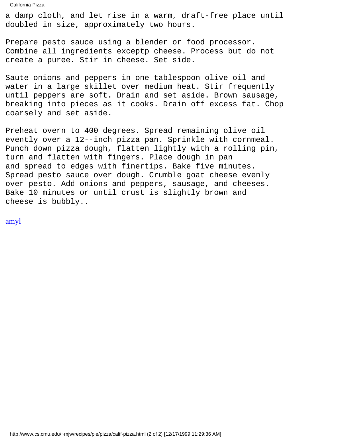California Pizza

a damp cloth, and let rise in a warm, draft-free place until doubled in size, approximately two hours.

Prepare pesto sauce using a blender or food processor. Combine all ingredients exceptp cheese. Process but do not create a puree. Stir in cheese. Set side.

Saute onions and peppers in one tablespoon olive oil and water in a large skillet over medium heat. Stir frequently until peppers are soft. Drain and set aside. Brown sausage, breaking into pieces as it cooks. Drain off excess fat. Chop coarsely and set aside.

Preheat overn to 400 degrees. Spread remaining olive oil evently over a 12--inch pizza pan. Sprinkle with cornmeal. Punch down pizza dough, flatten lightly with a rolling pin, turn and flatten with fingers. Place dough in pan and spread to edges with finertips. Bake five minutes. Spread pesto sauce over dough. Crumble goat cheese evenly over pesto. Add onions and peppers, sausage, and cheeses. Bake 10 minutes or until crust is slightly brown and cheese is bubbly..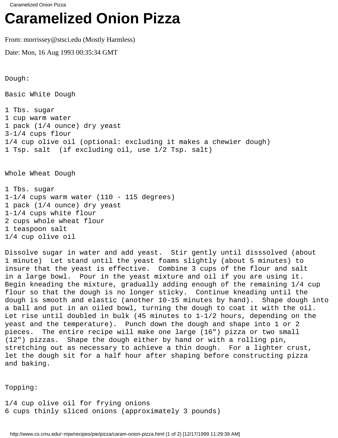<span id="page-6-0"></span>Caramelized Onion Pizza

## **Caramelized Onion Pizza**

From: morrissey@stsci.edu (Mostly Harmless)

Date: Mon, 16 Aug 1993 00:35:34 GMT

Dough:

Basic White Dough

1 Tbs. sugar 1 cup warm water 1 pack (1/4 ounce) dry yeast 3-1/4 cups flour 1/4 cup olive oil (optional: excluding it makes a chewier dough) 1 Tsp. salt (if excluding oil, use 1/2 Tsp. salt)

Whole Wheat Dough

1 Tbs. sugar 1-1/4 cups warm water (110 - 115 degrees) 1 pack (1/4 ounce) dry yeast 1-1/4 cups white flour 2 cups whole wheat flour 1 teaspoon salt 1/4 cup olive oil

Dissolve sugar in water and add yeast. Stir gently until disssolved (about 1 minute) Let stand until the yeast foams slightly (about 5 minutes) to insure that the yeast is effective. Combine 3 cups of the flour and salt in a large bowl. Pour in the yeast mixture and oil if you are using it. Begin kneading the mixture, gradually adding enough of the remaining 1/4 cup flour so that the dough is no longer sticky. Continue kneading until the dough is smooth and elastic (another 10-15 minutes by hand). Shape dough into a ball and put in an oiled bowl, turning the dough to coat it with the oil. Let rise until doubled in bulk (45 minutes to 1-1/2 hours, depending on the yeast and the temperature). Punch down the dough and shape into 1 or 2 pieces. The entire recipe will make one large (16") pizza or two small (12") pizzas. Shape the dough either by hand or with a rolling pin, stretching out as necessary to achieve a thin dough. For a lighter crust, let the dough sit for a half hour after shaping before constructing pizza and baking.

Topping:

1/4 cup olive oil for frying onions 6 cups thinly sliced onions (approximately 3 pounds)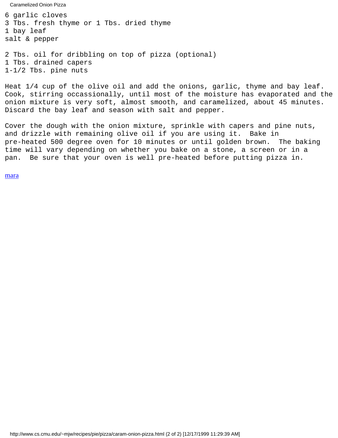Caramelized Onion Pizza

6 garlic cloves 3 Tbs. fresh thyme or 1 Tbs. dried thyme 1 bay leaf salt & pepper 2 Tbs. oil for dribbling on top of pizza (optional) 1 Tbs. drained capers 1-1/2 Tbs. pine nuts

Heat 1/4 cup of the olive oil and add the onions, garlic, thyme and bay leaf. Cook, stirring occassionally, until most of the moisture has evaporated and the onion mixture is very soft, almost smooth, and caramelized, about 45 minutes. Discard the bay leaf and season with salt and pepper.

Cover the dough with the onion mixture, sprinkle with capers and pine nuts, and drizzle with remaining olive oil if you are using it. Bake in pre-heated 500 degree oven for 10 minutes or until golden brown. The baking time will vary depending on whether you bake on a stone, a screen or in a pan. Be sure that your oven is well pre-heated before putting pizza in.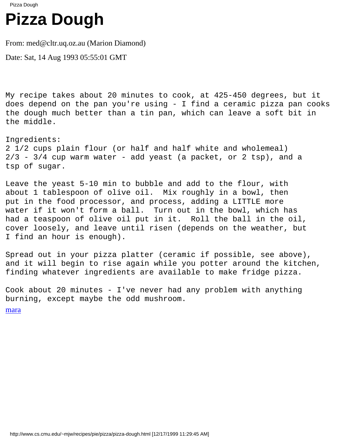<span id="page-8-0"></span>

From: med@cltr.uq.oz.au (Marion Diamond)

Date: Sat, 14 Aug 1993 05:55:01 GMT

My recipe takes about 20 minutes to cook, at 425-450 degrees, but it does depend on the pan you're using - I find a ceramic pizza pan cooks the dough much better than a tin pan, which can leave a soft bit in the middle.

Ingredients: 2 1/2 cups plain flour (or half and half white and wholemeal)  $2/3$  -  $3/4$  cup warm water - add yeast (a packet, or 2 tsp), and a tsp of sugar.

Leave the yeast 5-10 min to bubble and add to the flour, with about 1 tablespoon of olive oil. Mix roughly in a bowl, then put in the food processor, and process, adding a LITTLE more water if it won't form a ball. Turn out in the bowl, which has had a teaspoon of olive oil put in it. Roll the ball in the oil, cover loosely, and leave until risen (depends on the weather, but I find an hour is enough).

Spread out in your pizza platter (ceramic if possible, see above), and it will begin to rise again while you potter around the kitchen, finding whatever ingredients are available to make fridge pizza.

Cook about 20 minutes - I've never had any problem with anything burning, except maybe the odd mushroom.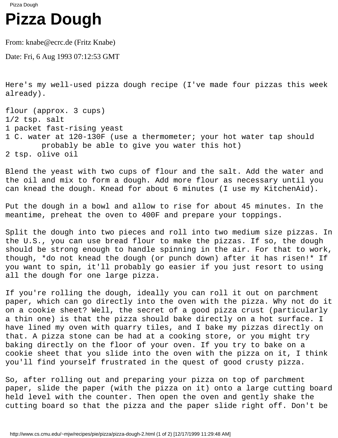# <span id="page-9-0"></span>**Pizza Dough**

From: knabe@ecrc.de (Fritz Knabe)

Date: Fri, 6 Aug 1993 07:12:53 GMT

Here's my well-used pizza dough recipe (I've made four pizzas this week already).

flour (approx. 3 cups) 1/2 tsp. salt 1 packet fast-rising yeast 1 C. water at 120-130F (use a thermometer; your hot water tap should probably be able to give you water this hot) 2 tsp. olive oil

Blend the yeast with two cups of flour and the salt. Add the water and the oil and mix to form a dough. Add more flour as necessary until you can knead the dough. Knead for about 6 minutes (I use my KitchenAid).

Put the dough in a bowl and allow to rise for about 45 minutes. In the meantime, preheat the oven to 400F and prepare your toppings.

Split the dough into two pieces and roll into two medium size pizzas. In the U.S., you can use bread flour to make the pizzas. If so, the dough should be strong enough to handle spinning in the air. For that to work, though, \*do not knead the dough (or punch down) after it has risen!\* If you want to spin, it'll probably go easier if you just resort to using all the dough for one large pizza.

If you're rolling the dough, ideally you can roll it out on parchment paper, which can go directly into the oven with the pizza. Why not do it on a cookie sheet? Well, the secret of a good pizza crust (particularly a thin one) is that the pizza should bake directly on a hot surface. I have lined my oven with quarry tiles, and I bake my pizzas directly on that. A pizza stone can be had at a cooking store, or you might try baking directly on the floor of your oven. If you try to bake on a cookie sheet that you slide into the oven with the pizza on it, I think you'll find yourself frustrated in the quest of good crusty pizza.

So, after rolling out and preparing your pizza on top of parchment paper, slide the paper (with the pizza on it) onto a large cutting board held level with the counter. Then open the oven and gently shake the cutting board so that the pizza and the paper slide right off. Don't be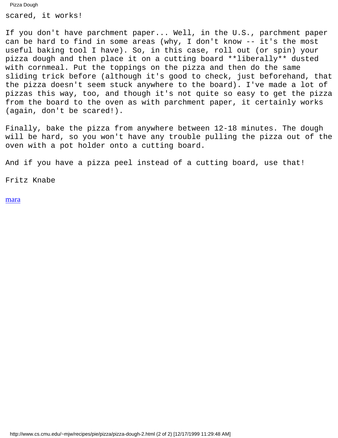scared, it works! Pizza Dough

If you don't have parchment paper... Well, in the U.S., parchment paper can be hard to find in some areas (why, I don't know -- it's the most useful baking tool I have). So, in this case, roll out (or spin) your pizza dough and then place it on a cutting board \*\*liberally\*\* dusted with cornmeal. Put the toppings on the pizza and then do the same sliding trick before (although it's good to check, just beforehand, that the pizza doesn't seem stuck anywhere to the board). I've made a lot of pizzas this way, too, and though it's not quite so easy to get the pizza from the board to the oven as with parchment paper, it certainly works (again, don't be scared!).

Finally, bake the pizza from anywhere between 12-18 minutes. The dough will be hard, so you won't have any trouble pulling the pizza out of the oven with a pot holder onto a cutting board.

And if you have a pizza peel instead of a cutting board, use that!

Fritz Knabe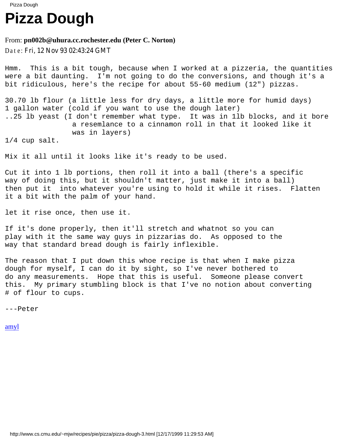## <span id="page-11-0"></span>**Pizza Dough**

#### From: **pn002b@uhura.cc.rochester.edu (Peter C. Norton)**

Date: **Fri, 12 Nov 93 02:43:24 GMT**

Hmm. This is a bit tough, because when I worked at a pizzeria, the quantities were a bit daunting. I'm not going to do the conversions, and though it's a bit ridiculous, here's the recipe for about 55-60 medium (12") pizzas.

30.70 lb flour (a little less for dry days, a little more for humid days) 1 gallon water (cold if you want to use the dough later) ..25 lb yeast (I don't remember what type. It was in 1lb blocks, and it bore a resemlance to a cinnamon roll in that it looked like it was in layers)

1/4 cup salt.

Mix it all until it looks like it's ready to be used.

Cut it into 1 lb portions, then roll it into a ball (there's a specific way of doing this, but it shouldn't matter, just make it into a ball) then put it into whatever you're using to hold it while it rises. Flatten it a bit with the palm of your hand.

let it rise once, then use it.

If it's done properly, then it'll stretch and whatnot so you can play with it the same way guys in pizzarias do. As opposed to the way that standard bread dough is fairly inflexible.

The reason that I put down this whoe recipe is that when I make pizza dough for myself, I can do it by sight, so I've never bothered to do any measurements. Hope that this is useful. Someone please convert this. My primary stumbling block is that I've no notion about converting # of flour to cups.

---Peter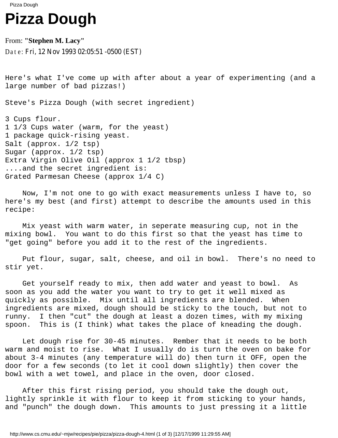## <span id="page-12-0"></span>**Pizza Dough**

From: **"Stephen M. Lacy"** Date: **Fri, 12 Nov 1993 02:05:51 -0500 (EST)**

Here's what I've come up with after about a year of experimenting (and a large number of bad pizzas!)

Steve's Pizza Dough (with secret ingredient)

3 Cups flour. 1 1/3 Cups water (warm, for the yeast) 1 package quick-rising yeast. Salt (approx. 1/2 tsp) Sugar (approx. 1/2 tsp) Extra Virgin Olive Oil (approx 1 1/2 tbsp) ....and the secret ingredient is: Grated Parmesan Cheese (approx 1/4 C)

 Now, I'm not one to go with exact measurements unless I have to, so here's my best (and first) attempt to describe the amounts used in this recipe:

 Mix yeast with warm water, in seperate measuring cup, not in the mixing bowl. You want to do this first so that the yeast has time to "get going" before you add it to the rest of the ingredients.

 Put flour, sugar, salt, cheese, and oil in bowl. There's no need to stir yet.

 Get yourself ready to mix, then add water and yeast to bowl. As soon as you add the water you want to try to get it well mixed as quickly as possible. Mix until all ingredients are blended. When ingredients are mixed, dough should be sticky to the touch, but not to runny. I then "cut" the dough at least a dozen times, with my mixing spoon. This is (I think) what takes the place of kneading the dough.

 Let dough rise for 30-45 minutes. Rember that it needs to be both warm and moist to rise. What I usually do is turn the oven on bake for about 3-4 minutes (any temperature will do) then turn it OFF, open the door for a few seconds (to let it cool down slightly) then cover the bowl with a wet towel, and place in the oven, door closed.

 After this first rising period, you should take the dough out, lightly sprinkle it with flour to keep it from sticking to your hands, and "punch" the dough down. This amounts to just pressing it a little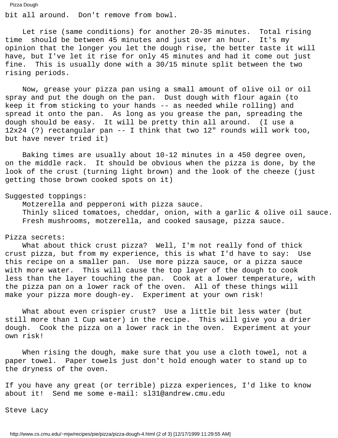bit all around. Don't remove from bowl.

 Let rise (same conditions) for another 20-35 minutes. Total rising time should be between 45 minutes and just over an hour. It's my opinion that the longer you let the dough rise, the better taste it will have, but I've let it rise for only 45 minutes and had it come out just fine. This is usually done with a 30/15 minute split between the two rising periods.

 Now, grease your pizza pan using a small amount of olive oil or oil spray and put the dough on the pan. Dust dough with flour again (to keep it from sticking to your hands -- as needed while rolling) and spread it onto the pan. As long as you grease the pan, spreading the dough should be easy. It will be pretty thin all around. (I use a 12x24 (?) rectangular pan -- I think that two 12" rounds will work too, but have never tried it)

 Baking times are usually about 10-12 minutes in a 450 degree oven, on the middle rack. It should be obvious when the pizza is done, by the look of the crust (turning light brown) and the look of the cheeze (just getting those brown cooked spots on it)

#### Suggested toppings:

 Motzerella and pepperoni with pizza sauce. Thinly sliced tomatoes, cheddar, onion, with a garlic & olive oil sauce. Fresh mushrooms, motzerella, and cooked sausage, pizza sauce.

### Pizza secrets:

 What about thick crust pizza? Well, I'm not really fond of thick crust pizza, but from my experience, this is what I'd have to say: Use this recipe on a smaller pan. Use more pizza sauce, or a pizza sauce with more water. This will cause the top layer of the dough to cook less than the layer touching the pan. Cook at a lower temperature, with the pizza pan on a lower rack of the oven. All of these things will make your pizza more dough-ey. Experiment at your own risk!

 What about even crispier crust? Use a little bit less water (but still more than 1 Cup water) in the recipe. This will give you a drier dough. Cook the pizza on a lower rack in the oven. Experiment at your own risk!

 When rising the dough, make sure that you use a cloth towel, not a paper towel. Paper towels just don't hold enough water to stand up to the dryness of the oven.

If you have any great (or terrible) pizza experiences, I'd like to know about it! Send me some e-mail: sl31@andrew.cmu.edu

Steve Lacy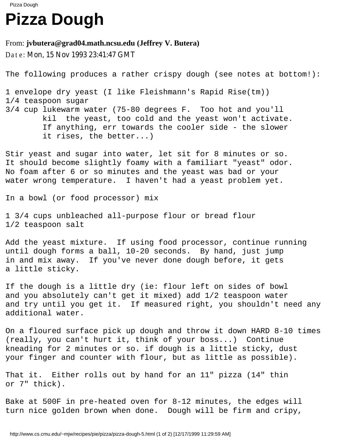### <span id="page-15-0"></span>From: **jvbutera@grad04.math.ncsu.edu (Jeffrey V. Butera)**

Date: **Mon, 15 Nov 1993 23:41:47 GMT**

The following produces a rather crispy dough (see notes at bottom!): 1 envelope dry yeast (I like Fleishmann's Rapid Rise(tm)) 1/4 teaspoon sugar 3/4 cup lukewarm water (75-80 degrees F. Too hot and you'll kil the yeast, too cold and the yeast won't activate. If anything, err towards the cooler side - the slower it rises, the better...)

Stir yeast and sugar into water, let sit for 8 minutes or so. It should become slightly foamy with a familiart "yeast" odor. No foam after 6 or so minutes and the yeast was bad or your water wrong temperature. I haven't had a yeast problem yet.

In a bowl (or food processor) mix

1 3/4 cups unbleached all-purpose flour or bread flour 1/2 teaspoon salt

Add the yeast mixture. If using food processor, continue running until dough forms a ball, 10-20 seconds. By hand, just jump in and mix away. If you've never done dough before, it gets a little sticky.

If the dough is a little dry (ie: flour left on sides of bowl and you absolutely can't get it mixed) add 1/2 teaspoon water and try until you get it. If measured right, you shouldn't need any additional water.

On a floured surface pick up dough and throw it down HARD 8-10 times (really, you can't hurt it, think of your boss...) Continue kneading for 2 minutes or so. if dough is a little sticky, dust your finger and counter with flour, but as little as possible).

That it. Either rolls out by hand for an 11" pizza (14" thin or 7" thick).

Bake at 500F in pre-heated oven for 8-12 minutes, the edges will turn nice golden brown when done. Dough will be firm and cripy,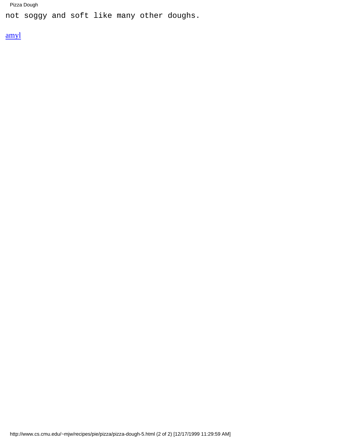not soggy and soft like many other doughs.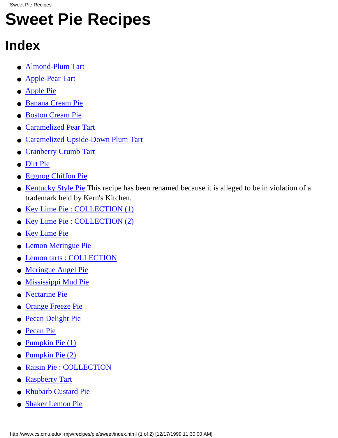<span id="page-17-0"></span>Sweet Pie Recipes

# **Sweet Pie Recipes**

### **Index**

- [Almond-Plum Tart](#page-19-0)
- [Apple-Pear Tart](#page-20-0)
- [Apple Pie](#page-22-0)
- [Banana Cream Pie](#page-23-0)
- [Boston Cream Pie](#page-24-0)
- [Caramelized Pear Tart](#page-26-0)
- [Caramelized Upside-Down Plum Tart](#page-27-0)
- [Cranberry Crumb Tart](#page-29-0)
- [Dirt Pie](#page-31-0)
- [Eggnog Chiffon Pie](#page-32-0)
- [Kentucky Style Pie](#page-33-0) This recipe has been renamed because it is alleged to be in violation of a trademark held by Kern's Kitchen.
- [Key Lime Pie : COLLECTION \(1\)](#page-34-0)
- [Key Lime Pie : COLLECTION \(2\)](#page-36-0)
- [Key Lime Pie](#page-43-0)
- [Lemon Meringue Pie](#page-45-0)
- [Lemon tarts : COLLECTION](#page-46-0)
- [Meringue Angel Pie](#page-48-0)
- [Mississippi Mud Pie](#page-50-0)
- [Nectarine Pie](#page-51-0)
- [Orange Freeze Pie](#page-52-0)
- [Pecan Delight Pie](#page-53-0)
- [Pecan Pie](#page-54-0)
- [Pumpkin Pie \(1\)](#page-55-0)
- $\bullet$  Pumpkin Pie  $(2)$
- [Raisin Pie : COLLECTION](#page-58-0)
- [Raspberry Tart](#page-60-0)
- [Rhubarb Custard Pie](#page-61-0)
- [Shaker Lemon Pie](#page-63-0)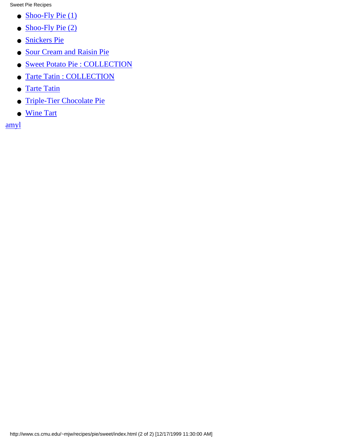Sweet Pie Recipes

- [Shoo-Fly Pie \(1\)](#page-64-0)
- $\bullet$  Shoo-Fly Pie  $(2)$
- [Snickers Pie](#page-67-0)
- [Sour Cream and Raisin Pie](#page-69-0)
- [Sweet Potato Pie : COLLECTION](#page-71-0)
- [Tarte Tatin : COLLECTION](#page-75-0)
- [Tarte Tatin](#page-78-0)
- [Triple-Tier Chocolate Pie](#page-80-0)
- [Wine Tart](#page-81-0)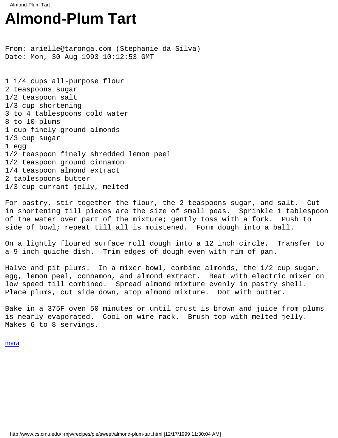#### <span id="page-19-0"></span>Almond-Plum Tart

## **Almond-Plum Tart**

From: arielle@taronga.com (Stephanie da Silva) Date: Mon, 30 Aug 1993 10:12:53 GMT

```
1 1/4 cups all-purpose flour
2 teaspoons sugar
1/2 teaspoon salt
1/3 cup shortening 
3 to 4 tablespoons cold water
8 to 10 plums
1 cup finely ground almonds
1/3 cup sugar
1 egg
1/2 teaspoon finely shredded lemon peel
1/2 teaspoon ground cinnamon
1/4 teaspoon almond extract
2 tablespoons butter
1/3 cup currant jelly, melted
```
For pastry, stir together the flour, the 2 teaspoons sugar, and salt. Cut in shortening till pieces are the size of small peas. Sprinkle 1 tablespoon of the water over part of the mixture; gently toss with a fork. Push to side of bowl; repeat till all is moistened. Form dough into a ball.

On a lightly floured surface roll dough into a 12 inch circle. Transfer to a 9 inch quiche dish. Trim edges of dough even with rim of pan.

Halve and pit plums. In a mixer bowl, combine almonds, the 1/2 cup sugar, egg, lemon peel, connamon, and almond extract. Beat with electric mixer on low speed till combined. Spread almond mixture evenly in pastry shell. Place plums, cut side down, atop almond mixture. Dot with butter.

Bake in a 375F oven 50 minutes or until crust is brown and juice from plums is nearly evaporated. Cool on wire rack. Brush top with melted jelly. Makes 6 to 8 servings.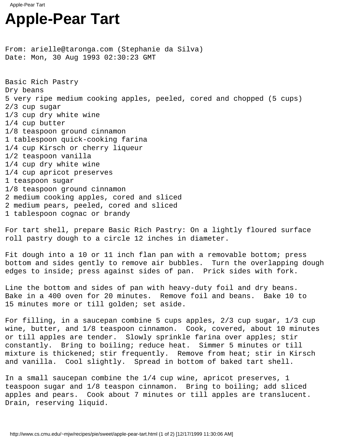<span id="page-20-0"></span>Apple-Pear Tart

# **Apple-Pear Tart**

From: arielle@taronga.com (Stephanie da Silva)

Date: Mon, 30 Aug 1993 02:30:23 GMT Basic Rich Pastry Dry beans 5 very ripe medium cooking apples, peeled, cored and chopped (5 cups) 2/3 cup sugar 1/3 cup dry white wine 1/4 cup butter 1/8 teaspoon ground cinnamon 1 tablespoon quick-cooking farina 1/4 cup Kirsch or cherry liqueur 1/2 teaspoon vanilla 1/4 cup dry white wine 1/4 cup apricot preserves 1 teaspoon sugar 1/8 teaspoon ground cinnamon 2 medium cooking apples, cored and sliced 2 medium pears, peeled, cored and sliced 1 tablespoon cognac or brandy

For tart shell, prepare Basic Rich Pastry: On a lightly floured surface roll pastry dough to a circle 12 inches in diameter.

Fit dough into a 10 or 11 inch flan pan with a removable bottom; press bottom and sides gently to remove air bubbles. Turn the overlapping dough edges to inside; press against sides of pan. Prick sides with fork.

Line the bottom and sides of pan with heavy-duty foil and dry beans. Bake in a 400 oven for 20 minutes. Remove foil and beans. Bake 10 to 15 minutes more or till golden; set aside.

For filling, in a saucepan combine 5 cups apples, 2/3 cup sugar, 1/3 cup wine, butter, and 1/8 teaspoon cinnamon. Cook, covered, about 10 minutes or till apples are tender. Slowly sprinkle farina over apples; stir constantly. Bring to boiling; reduce heat. Simmer 5 minutes or till mixture is thickened; stir frequently. Remove from heat; stir in Kirsch and vanilla. Cool slightly. Spread in bottom of baked tart shell.

In a small saucepan combine the 1/4 cup wine, apricot preserves, 1 teaspoon sugar and 1/8 teaspon cinnamon. Bring to boiling; add sliced apples and pears. Cook about 7 minutes or till apples are translucent. Drain, reserving liquid.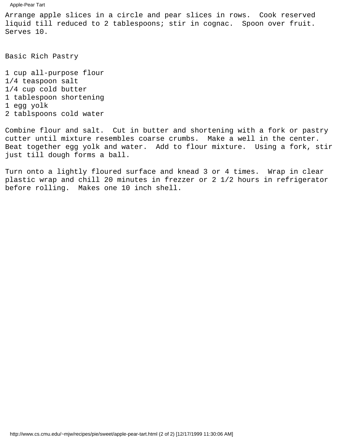Arrange apple slices in a circle and pear slices in rows. Cook reserved liquid till reduced to 2 tablespoons; stir in cognac. Spoon over fruit. Serves 10.

Basic Rich Pastry

1 cup all-purpose flour 1/4 teaspoon salt 1/4 cup cold butter 1 tablespoon shortening 1 egg yolk 2 tablspoons cold water

Combine flour and salt. Cut in butter and shortening with a fork or pastry cutter until mixture resembles coarse crumbs. Make a well in the center. Beat together egg yolk and water. Add to flour mixture. Using a fork, stir just till dough forms a ball.

Turn onto a lightly floured surface and knead 3 or 4 times. Wrap in clear plastic wrap and chill 20 minutes in frezzer or 2 1/2 hours in refrigerator before rolling. Makes one 10 inch shell.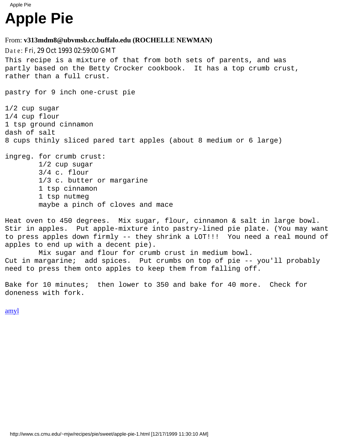<span id="page-22-0"></span>Apple Pie

## **Apple Pie**

### From: **v313mdm8@ubvmsb.cc.buffalo.edu (ROCHELLE NEWMAN)**

Date: **Fri, 29 Oct 1993 02:59:00 GMT**

This recipe is a mixture of that from both sets of parents, and was partly based on the Betty Crocker cookbook. It has a top crumb crust, rather than a full crust.

pastry for 9 inch one-crust pie

1/2 cup sugar 1/4 cup flour 1 tsp ground cinnamon dash of salt 8 cups thinly sliced pared tart apples (about 8 medium or 6 large)

ingreg. for crumb crust: 1/2 cup sugar 3/4 c. flour 1/3 c. butter or margarine 1 tsp cinnamon 1 tsp nutmeg maybe a pinch of cloves and mace

Heat oven to 450 degrees. Mix sugar, flour, cinnamon & salt in large bowl. Stir in apples. Put apple-mixture into pastry-lined pie plate. (You may want to press apples down firmly -- they shrink a LOT!!! You need a real mound of apples to end up with a decent pie).

 Mix sugar and flour for crumb crust in medium bowl. Cut in margarine; add spices. Put crumbs on top of pie -- you'll probably need to press them onto apples to keep them from falling off.

Bake for 10 minutes; then lower to 350 and bake for 40 more. Check for doneness with fork.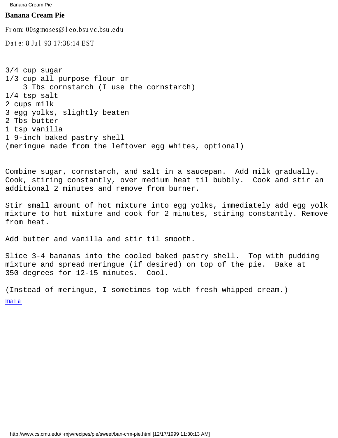<span id="page-23-0"></span>Banana Cream Pie

#### **Banana Cream Pie**

From: 00sgmoses@leo.bsuvc.bsu.edu

Date: 8 Jul 93 17:38:14 EST

3/4 cup sugar 1/3 cup all purpose flour or 3 Tbs cornstarch (I use the cornstarch) 1/4 tsp salt 2 cups milk 3 egg yolks, slightly beaten 2 Tbs butter 1 tsp vanilla 1 9-inch baked pastry shell (meringue made from the leftover egg whites, optional)

Combine sugar, cornstarch, and salt in a saucepan. Add milk gradually. Cook, stiring constantly, over medium heat til bubbly. Cook and stir an additional 2 minutes and remove from burner.

Stir small amount of hot mixture into egg yolks, immediately add egg yolk mixture to hot mixture and cook for 2 minutes, stiring constantly. Remove from heat.

Add butter and vanilla and stir til smooth.

Slice 3-4 bananas into the cooled baked pastry shell. Top with pudding mixture and spread meringue (if desired) on top of the pie. Bake at 350 degrees for 12-15 minutes. Cool.

(Instead of meringue, I sometimes top with fresh whipped cream.) [mara](http://www.mcs.vuw.ac.nz/school/staff/Amy-Gale.html)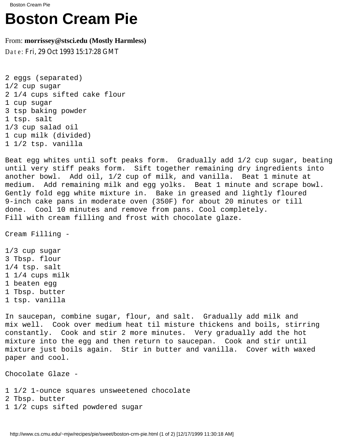<span id="page-24-0"></span>Boston Cream Pie

## **Boston Cream Pie**

### From: **morrissey@stsci.edu (Mostly Harmless)**

Date: **Fri, 29 Oct 1993 15:17:28 GMT**

```
2 eggs (separated)
1/2 cup sugar
2 1/4 cups sifted cake flour
1 cup sugar
3 tsp baking powder
1 tsp. salt
1/3 cup salad oil
1 cup milk (divided)
1 1/2 tsp. vanilla
```
Beat egg whites until soft peaks form. Gradually add 1/2 cup sugar, beating until very stiff peaks form. Sift together remaining dry ingredients into another bowl. Add oil, 1/2 cup of milk, and vanilla. Beat 1 minute at medium. Add remaining milk and egg yolks. Beat 1 minute and scrape bowl. Gently fold egg white mixture in. Bake in greased and lightly floured 9-inch cake pans in moderate oven (350F) for about 20 minutes or till done. Cool 10 minutes and remove from pans. Cool completely. Fill with cream filling and frost with chocolate glaze.

Cream Filling -

1/3 cup sugar 3 Tbsp. flour 1/4 tsp. salt 1 1/4 cups milk 1 beaten egg 1 Tbsp. butter 1 tsp. vanilla

In saucepan, combine sugar, flour, and salt. Gradually add milk and mix well. Cook over medium heat til misture thickens and boils, stirring constantly. Cook and stir 2 more minutes. Very gradually add the hot mixture into the egg and then return to saucepan. Cook and stir until mixture just boils again. Stir in butter and vanilla. Cover with waxed paper and cool.

Chocolate Glaze -

- 1 1/2 1-ounce squares unsweetened chocolate
- 2 Tbsp. butter
- 1 1/2 cups sifted powdered sugar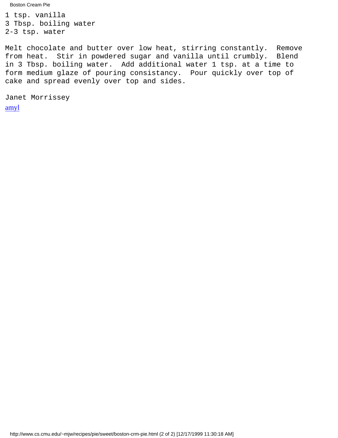Boston Cream Pie

1 tsp. vanilla 3 Tbsp. boiling water 2-3 tsp. water

Melt chocolate and butter over low heat, stirring constantly. Remove from heat. Stir in powdered sugar and vanilla until crumbly. Blend in 3 Tbsp. boiling water. Add additional water 1 tsp. at a time to form medium glaze of pouring consistancy. Pour quickly over top of cake and spread evenly over top and sides.

Janet Morrissey [amyl](http://www.mcs.vuw.ac.nz/school/staff/Amy-Gale.html)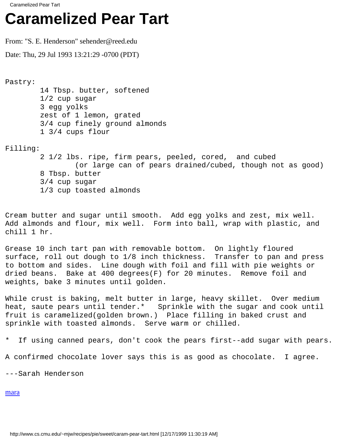<span id="page-26-0"></span>Caramelized Pear Tart

## **Caramelized Pear Tart**

From: "S. E. Henderson" sehender@reed.edu

Date: Thu, 29 Jul 1993 13:21:29 -0700 (PDT) Pastry: 14 Tbsp. butter, softened 1/2 cup sugar 3 egg yolks zest of 1 lemon, grated 3/4 cup finely ground almonds 1 3/4 cups flour Filling: 2 1/2 lbs. ripe, firm pears, peeled, cored, and cubed (or large can of pears drained/cubed, though not as good)

 8 Tbsp. butter 3/4 cup sugar

1/3 cup toasted almonds

Cream butter and sugar until smooth. Add egg yolks and zest, mix well. Add almonds and flour, mix well. Form into ball, wrap with plastic, and chill 1 hr.

Grease 10 inch tart pan with removable bottom. On lightly floured surface, roll out dough to 1/8 inch thickness. Transfer to pan and press to bottom and sides. Line dough with foil and fill with pie weights or dried beans. Bake at 400 degrees(F) for 20 minutes. Remove foil and weights, bake 3 minutes until golden.

While crust is baking, melt butter in large, heavy skillet. Over medium heat, saute pears until tender.\* Sprinkle with the sugar and cook until fruit is caramelized(golden brown.) Place filling in baked crust and sprinkle with toasted almonds. Serve warm or chilled.

If using canned pears, don't cook the pears first--add sugar with pears.

A confirmed chocolate lover says this is as good as chocolate. I agree.

---Sarah Henderson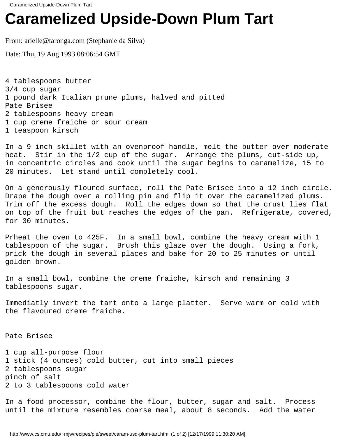### <span id="page-27-0"></span>**Caramelized Upside-Down Plum Tart**

From: arielle@taronga.com (Stephanie da Silva)

Date: Thu, 19 Aug 1993 08:06:54 GMT

4 tablespoons butter 3/4 cup sugar 1 pound dark Italian prune plums, halved and pitted Pate Brisee 2 tablespoons heavy cream 1 cup creme fraiche or sour cream 1 teaspoon kirsch

In a 9 inch skillet with an ovenproof handle, melt the butter over moderate heat. Stir in the 1/2 cup of the sugar. Arrange the plums, cut-side up, in concentric circles and cook until the sugar begins to caramelize, 15 to 20 minutes. Let stand until completely cool.

On a generously floured surface, roll the Pate Brisee into a 12 inch circle. Drape the dough over a rolling pin and flip it over the caramelized plums. Trim off the excess dough. Roll the edges down so that the crust lies flat on top of the fruit but reaches the edges of the pan. Refrigerate, covered, for 30 minutes.

Prheat the oven to 425F. In a small bowl, combine the heavy cream with 1 tablespoon of the sugar. Brush this glaze over the dough. Using a fork, prick the dough in several places and bake for 20 to 25 minutes or until golden brown.

In a small bowl, combine the creme fraiche, kirsch and remaining 3 tablespoons sugar.

Immediatly invert the tart onto a large platter. Serve warm or cold with the flavoured creme fraiche.

Pate Brisee

1 cup all-purpose flour 1 stick (4 ounces) cold butter, cut into small pieces 2 tablespoons sugar pinch of salt 2 to 3 tablespoons cold water

In a food processor, combine the flour, butter, sugar and salt. Process until the mixture resembles coarse meal, about 8 seconds. Add the water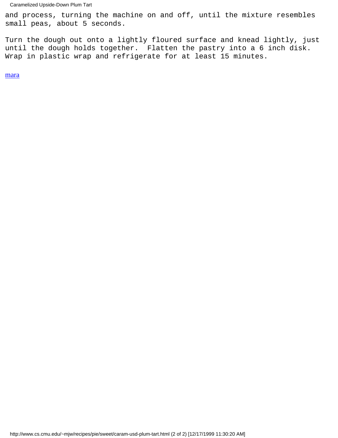and process, turning the machine on and off, until the mixture resembles small peas, about 5 seconds.

Turn the dough out onto a lightly floured surface and knead lightly, just until the dough holds together. Flatten the pastry into a 6 inch disk. Wrap in plastic wrap and refrigerate for at least 15 minutes.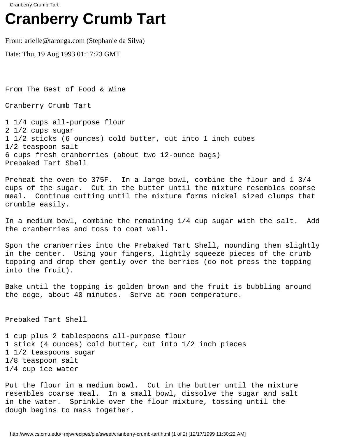<span id="page-29-0"></span>Cranberry Crumb Tart

### **Cranberry Crumb Tart**

From: arielle@taronga.com (Stephanie da Silva)

Date: Thu, 19 Aug 1993 01:17:23 GMT

From The Best of Food & Wine

Cranberry Crumb Tart

1 1/4 cups all-purpose flour 2 1/2 cups sugar 1 1/2 sticks (6 ounces) cold butter, cut into 1 inch cubes 1/2 teaspoon salt 6 cups fresh cranberries (about two 12-ounce bags) Prebaked Tart Shell

Preheat the oven to 375F. In a large bowl, combine the flour and 1 3/4 cups of the sugar. Cut in the butter until the mixture resembles coarse meal. Continue cutting until the mixture forms nickel sized clumps that crumble easily.

In a medium bowl, combine the remaining 1/4 cup sugar with the salt. Add the cranberries and toss to coat well.

Spon the cranberries into the Prebaked Tart Shell, mounding them slightly in the center. Using your fingers, lightly squeeze pieces of the crumb topping and drop them gently over the berries (do not press the topping into the fruit).

Bake until the topping is golden brown and the fruit is bubbling around the edge, about 40 minutes. Serve at room temperature.

Prebaked Tart Shell

1 cup plus 2 tablespoons all-purpose flour 1 stick (4 ounces) cold butter, cut into 1/2 inch pieces 1 1/2 teaspoons sugar 1/8 teaspoon salt 1/4 cup ice water

Put the flour in a medium bowl. Cut in the butter until the mixture resembles coarse meal. In a small bowl, dissolve the sugar and salt in the water. Sprinkle over the flour mixture, tossing until the dough begins to mass together.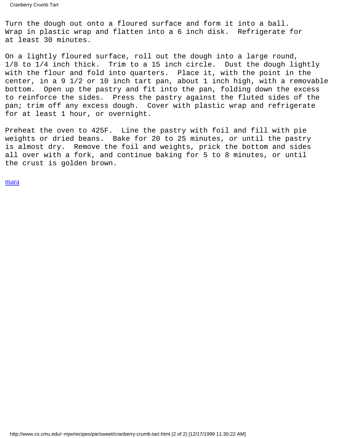Turn the dough out onto a floured surface and form it into a ball. Wrap in plastic wrap and flatten into a 6 inch disk. Refrigerate for at least 30 minutes.

On a lightly floured surface, roll out the dough into a large round, 1/8 to 1/4 inch thick. Trim to a 15 inch circle. Dust the dough lightly with the flour and fold into quarters. Place it, with the point in the center, in a 9 1/2 or 10 inch tart pan, about 1 inch high, with a removable bottom. Open up the pastry and fit into the pan, folding down the excess to reinforce the sides. Press the pastry against the fluted sides of the pan; trim off any excess dough. Cover with plastic wrap and refrigerate for at least 1 hour, or overnight.

Preheat the oven to 425F. Line the pastry with foil and fill with pie weights or dried beans. Bake for 20 to 25 minutes, or until the pastry is almost dry. Remove the foil and weights, prick the bottom and sides all over with a fork, and continue baking for 5 to 8 minutes, or until the crust is golden brown.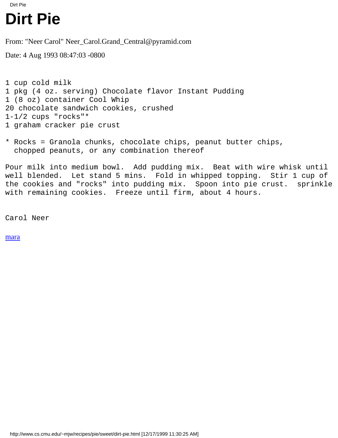### <span id="page-31-0"></span>**Dirt Pie** Dirt Pie

From: "Neer Carol" Neer\_Carol.Grand\_Central@pyramid.com

Date: 4 Aug 1993 08:47:03 -0800

1 cup cold milk 1 pkg (4 oz. serving) Chocolate flavor Instant Pudding 1 (8 oz) container Cool Whip 20 chocolate sandwich cookies, crushed 1-1/2 cups "rocks"\* 1 graham cracker pie crust

\* Rocks = Granola chunks, chocolate chips, peanut butter chips, chopped peanuts, or any combination thereof

Pour milk into medium bowl. Add pudding mix. Beat with wire whisk until well blended. Let stand 5 mins. Fold in whipped topping. Stir 1 cup of the cookies and "rocks" into pudding mix. Spoon into pie crust. sprinkle with remaining cookies. Freeze until firm, about 4 hours.

Carol Neer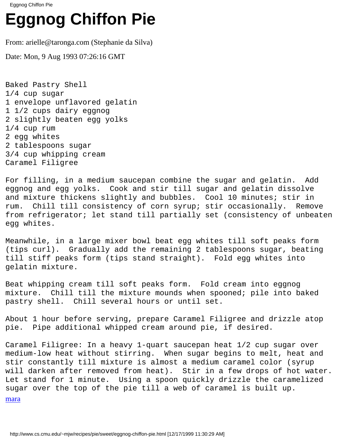<span id="page-32-0"></span>Eggnog Chiffon Pie

## **Eggnog Chiffon Pie**

From: arielle@taronga.com (Stephanie da Silva)

Date: Mon, 9 Aug 1993 07:26:16 GMT

Baked Pastry Shell 1/4 cup sugar 1 envelope unflavored gelatin 1 1/2 cups dairy eggnog 2 slightly beaten egg yolks 1/4 cup rum 2 egg whites 2 tablespoons sugar 3/4 cup whipping cream Caramel Filigree

For filling, in a medium saucepan combine the sugar and gelatin. Add eggnog and egg yolks. Cook and stir till sugar and gelatin dissolve and mixture thickens slightly and bubbles. Cool 10 minutes; stir in rum. Chill till consistency of corn syrup; stir occasionally. Remove from refrigerator; let stand till partially set (consistency of unbeaten egg whites.

Meanwhile, in a large mixer bowl beat egg whites till soft peaks form (tips curl). Gradually add the remaining 2 tablespoons sugar, beating till stiff peaks form (tips stand straight). Fold egg whites into gelatin mixture.

Beat whipping cream till soft peaks form. Fold cream into eggnog mixture. Chill till the mixture mounds when spooned; pile into baked pastry shell. Chill several hours or until set.

About 1 hour before serving, prepare Caramel Filigree and drizzle atop pie. Pipe additional whipped cream around pie, if desired.

Caramel Filigree: In a heavy 1-quart saucepan heat 1/2 cup sugar over medium-low heat without stirring. When sugar begins to melt, heat and stir constantly till mixture is almost a medium caramel color (syrup will darken after removed from heat). Stir in a few drops of hot water. Let stand for 1 minute. Using a spoon quickly drizzle the caramelized sugar over the top of the pie till a web of caramel is built up.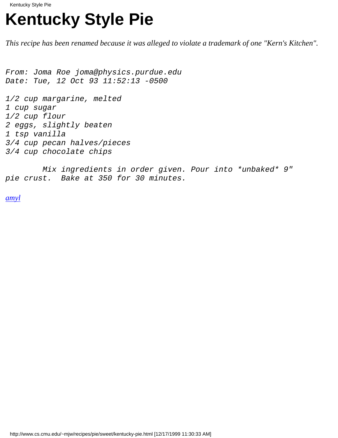#### <span id="page-33-0"></span>Kentucky Style Pie

# **Kentucky Style Pie**

*This recipe has been renamed because it was alleged to violate a trademark of one "Kern's Kitchen".*

From: Joma Roe joma@physics.purdue.edu Date: Tue, 12 Oct 93 11:52:13 -0500 1/2 cup margarine, melted 1 cup sugar 1/2 cup flour 2 eggs, slightly beaten 1 tsp vanilla 3/4 cup pecan halves/pieces 3/4 cup chocolate chips

 Mix ingredients in order given. Pour into \*unbaked\* 9" pie crust. Bake at 350 for 30 minutes.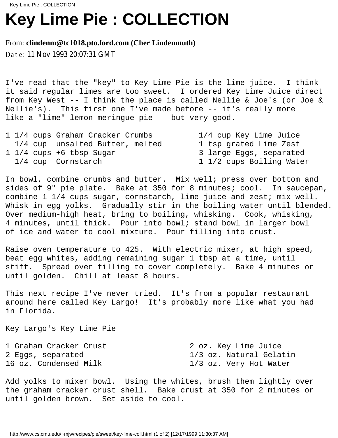# <span id="page-34-0"></span>**Key Lime Pie : COLLECTION**

### From: **clindenm@tc1018.pto.ford.com (Cher Lindenmuth)**

Date: **11 Nov 1993 20:07:31 GMT**

I've read that the "key" to Key Lime Pie is the lime juice. I think it said regular limes are too sweet. I ordered Key Lime Juice direct from Key West -- I think the place is called Nellie & Joe's (or Joe & Nellie's). This first one I've made before -- it's really more like a "lime" lemon meringue pie -- but very good.

|  | 1 1/4 cups Graham Cracker Crumbs | 1/4 cup Key Lime Juice   |
|--|----------------------------------|--------------------------|
|  | 1/4 cup unsalted Butter, melted  | 1 tsp grated Lime Zest   |
|  | $1\ 1/4$ cups $+6$ tbsp Sugar    | 3 large Eggs, separated  |
|  | 1/4 cup Cornstarch               | 1 1/2 cups Boiling Water |

In bowl, combine crumbs and butter. Mix well; press over bottom and sides of 9" pie plate. Bake at 350 for 8 minutes; cool. In saucepan, combine 1 1/4 cups sugar, cornstarch, lime juice and zest; mix well. Whisk in egg yolks. Gradually stir in the boiling water until blended. Over medium-high heat, bring to boiling, whisking. Cook, whisking, 4 minutes, until thick. Pour into bowl; stand bowl in larger bowl of ice and water to cool mixture. Pour filling into crust.

Raise oven temperature to 425. With electric mixer, at high speed, beat egg whites, adding remaining sugar 1 tbsp at a time, until stiff. Spread over filling to cover completely. Bake 4 minutes or until golden. Chill at least 8 hours.

This next recipe I've never tried. It's from a popular restaurant around here called Key Largo! It's probably more like what you had in Florida.

Key Largo's Key Lime Pie

1 Graham Cracker Crust 2 oz. Key Lime Juice 2 Eggs, separated 1/3 oz. Natural Gelatin 16 oz. Condensed Milk 1/3 oz. Very Hot Water

Add yolks to mixer bowl. Using the whites, brush them lightly over the graham cracker crust shell. Bake crust at 350 for 2 minutes or until golden brown. Set aside to cool.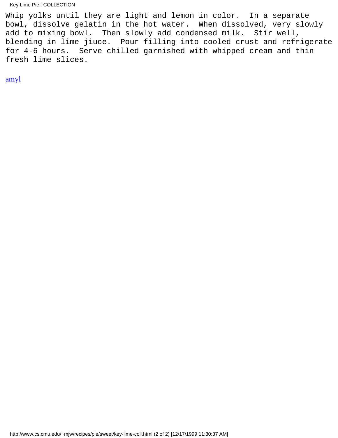Key Lime Pie : COLLECTION

Whip yolks until they are light and lemon in color. In a separate bowl, dissolve gelatin in the hot water. When dissolved, very slowly add to mixing bowl. Then slowly add condensed milk. Stir well, blending in lime jiuce. Pour filling into cooled crust and refrigerate for 4-6 hours. Serve chilled garnished with whipped cream and thin fresh lime slices.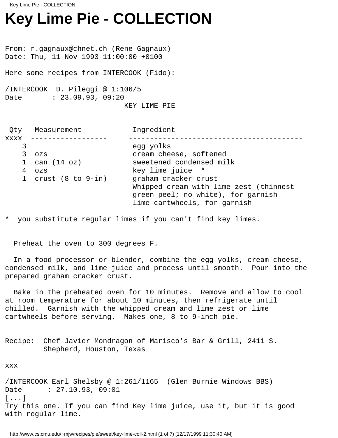### **Key Lime Pie - COLLECTION**

From: r.gagnaux@chnet.ch (Rene Gagnaux) Date: Thu, 11 Nov 1993 11:00:00 +0100

Here some recipes from INTERCOOK (Fido):

/INTERCOOK D. Pileggi @ 1:106/5 Date : 23.09.93, 09:20

KEY LIME PIE

| Qty  | Measurement                           | Ingredient                             |
|------|---------------------------------------|----------------------------------------|
| XXXX |                                       |                                        |
|      |                                       | egg yolks                              |
|      | OZS                                   | cream cheese, softened                 |
|      | 1 can $(14 oz)$                       | sweetened condensed milk               |
| 4    | OZS                                   | key lime juice *                       |
|      | 1 crust $(8 \text{ to } 9\text{-}in)$ | graham cracker crust                   |
|      |                                       | Whipped cream with lime zest (thinnest |
|      |                                       | green peel; no white), for garnish     |
|      |                                       | lime cartwheels, for garnish           |

\* you substitute regular limes if you can't find key limes.

Preheat the oven to 300 degrees F.

 In a food processor or blender, combine the egg yolks, cream cheese, condensed milk, and lime juice and process until smooth. Pour into the prepared graham cracker crust.

 Bake in the preheated oven for 10 minutes. Remove and allow to cool at room temperature for about 10 minutes, then refrigerate until chilled. Garnish with the whipped cream and lime zest or lime cartwheels before serving. Makes one, 8 to 9-inch pie.

Recipe: Chef Javier Mondragon of Marisco's Bar & Grill, 2411 S. Shepherd, Houston, Texas

xxx

/INTERCOOK Earl Shelsby @ 1:261/1165 (Glen Burnie Windows BBS) Date : 27.10.93, 09:01 [...] Try this one. If you can find Key lime juice, use it, but it is good with regular lime.

http://www.cs.cmu.edu/~mjw/recipes/pie/sweet/key-lime-coll-2.html (1 of 7) [12/17/1999 11:30:40 AM]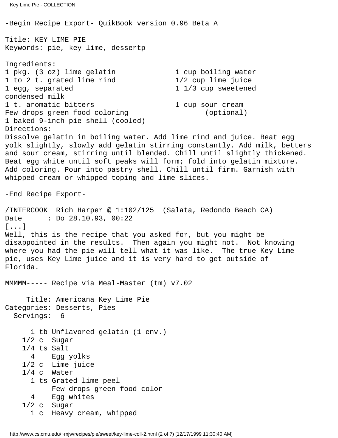-Begin Recipe Export- QuikBook version 0.96 Beta A Title: KEY LIME PIE Keywords: pie, key lime, dessertp Ingredients: 1 pkg. (3 oz) lime gelatin 1 cup boiling water 1 to 2 t. grated lime rind 1/2 cup lime juice 1 egg, separated 1 1/3 cup sweetened condensed milk 1 t. aromatic bitters 1 cup sour cream Few drops green food coloring (optional) 1 baked 9-inch pie shell (cooled) Directions: Dissolve gelatin in boiling water. Add lime rind and juice. Beat egg yolk slightly, slowly add gelatin stirring constantly. Add milk, betters and sour cream, stirring until blended. Chill until slightly thickened. Beat egg white until soft peaks will form; fold into gelatin mixture. Add coloring. Pour into pastry shell. Chill until firm. Garnish with whipped cream or whipped toping and lime slices. -End Recipe Export- /INTERCOOK Rich Harper @ 1:102/125 (Salata, Redondo Beach CA) Date : Do 28.10.93, 00:22 [...] Well, this is the recipe that you asked for, but you might be disappointed in the results. Then again you might not. Not knowing where you had the pie will tell what it was like. The true Key Lime pie, uses Key Lime juice and it is very hard to get outside of Florida. MMMMM----- Recipe via Meal-Master (tm) v7.02 Title: Americana Key Lime Pie Categories: Desserts, Pies Servings: 6 1 tb Unflavored gelatin (1 env.) 1/2 c Sugar 1/4 ts Salt 4 Egg yolks 1/2 c Lime juice 1/4 c Water 1 ts Grated lime peel Few drops green food color 4 Egg whites 1/2 c Sugar

1 c Heavy cream, whipped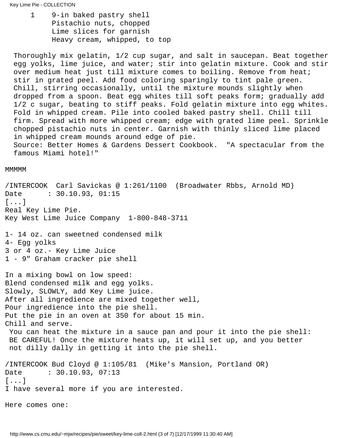1 9-in baked pastry shell Pistachio nuts, chopped Lime slices for garnish Heavy cream, whipped, to top

 Thoroughly mix gelatin, 1/2 cup sugar, and salt in saucepan. Beat together egg yolks, lime juice, and water; stir into gelatin mixture. Cook and stir over medium heat just till mixture comes to boiling. Remove from heat; stir in grated peel. Add food coloring sparingly to tint pale green. Chill, stirring occasionally, until the mixture mounds slightly when dropped from a spoon. Beat egg whites till soft peaks form; gradually add 1/2 c sugar, beating to stiff peaks. Fold gelatin mixture into egg whites. Fold in whipped cream. Pile into cooled baked pastry shell. Chill till firm. Spread with more whipped cream; edge with grated lime peel. Sprinkle chopped pistachio nuts in center. Garnish with thinly sliced lime placed in whipped cream mounds around edge of pie. Source: Better Homes & Gardens Dessert Cookbook. "A spectacular from the famous Miami hotel!"

#### **MMMM**

/INTERCOOK Carl Savickas @ 1:261/1100 (Broadwater Rbbs, Arnold MD) Date : 30.10.93, 01:15 [...] Real Key Lime Pie. Key West Lime Juice Company 1-800-848-3711 1- 14 oz. can sweetned condensed milk 4- Egg yolks 3 or 4 oz.- Key Lime Juice 1 - 9" Graham cracker pie shell In a mixing bowl on low speed: Blend condensed milk and egg yolks. Slowly, SLOWLY, add Key Lime juice. After all ingredience are mixed together well, Pour ingredience into the pie shell. Put the pie in an oven at 350 for about 15 min. Chill and serve. You can heat the mixture in a sauce pan and pour it into the pie shell: BE CAREFUL! Once the mixture heats up, it will set up, and you better not dilly dally in getting it into the pie shell. /INTERCOOK Bud Cloyd @ 1:105/81 (Mike's Mansion, Portland OR) Date : 30.10.93, 07:13 [...] I have several more if you are interested. Here comes one: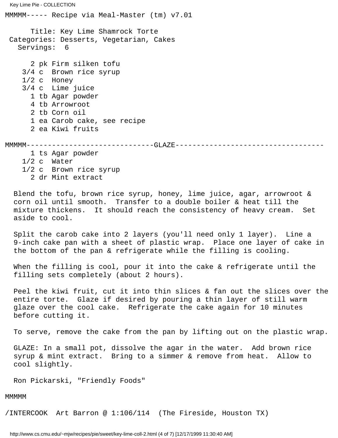MMMMM----- Recipe via Meal-Master (tm) v7.01 Title: Key Lime Shamrock Torte Categories: Desserts, Vegetarian, Cakes Servings: 6 2 pk Firm silken tofu 3/4 c Brown rice syrup 1/2 c Honey 3/4 c Lime juice 1 tb Agar powder 4 tb Arrowroot 2 tb Corn oil 1 ea Carob cake, see recipe 2 ea Kiwi fruits MMMMM------------------------------GLAZE----------------------------------- 1 ts Agar powder 1/2 c Water 1/2 c Brown rice syrup Key Lime Pie - COLLECTION

2 dr Mint extract

 Blend the tofu, brown rice syrup, honey, lime juice, agar, arrowroot & corn oil until smooth. Transfer to a double boiler & heat till the mixture thickens. It should reach the consistency of heavy cream. Set aside to cool.

 Split the carob cake into 2 layers (you'll need only 1 layer). Line a 9-inch cake pan with a sheet of plastic wrap. Place one layer of cake in the bottom of the pan & refrigerate while the filling is cooling.

 When the filling is cool, pour it into the cake & refrigerate until the filling sets completely (about 2 hours).

 Peel the kiwi fruit, cut it into thin slices & fan out the slices over the entire torte. Glaze if desired by pouring a thin layer of still warm glaze over the cool cake. Refrigerate the cake again for 10 minutes before cutting it.

To serve, remove the cake from the pan by lifting out on the plastic wrap.

 GLAZE: In a small pot, dissolve the agar in the water. Add brown rice syrup & mint extract. Bring to a simmer & remove from heat. Allow to cool slightly.

Ron Pickarski, "Friendly Foods"

#### MMMMM

/INTERCOOK Art Barron @ 1:106/114 (The Fireside, Houston TX)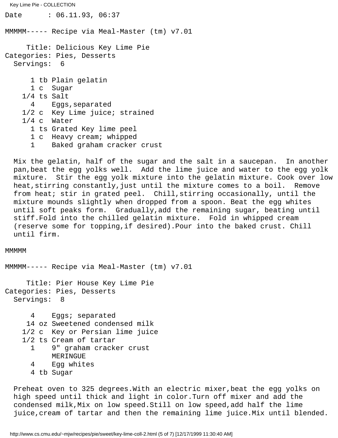Date : 06.11.93, 06:37 MMMMM----- Recipe via Meal-Master (tm) v7.01 Title: Delicious Key Lime Pie Categories: Pies, Desserts Servings: 6 1 tb Plain gelatin 1 c Sugar 1/4 ts Salt 4 Eggs,separated 1/2 c Key Lime juice; strained 1/4 c Water 1 ts Grated Key lime peel 1 c Heavy cream; whipped 1 Baked graham cracker crust Key Lime Pie - COLLECTION

 Mix the gelatin, half of the sugar and the salt in a saucepan. In another pan,beat the egg yolks well. Add the lime juice and water to the egg yolk mixture. Stir the egg yolk mixture into the gelatin mixture. Cook over low heat,stirring constantly,just until the mixture comes to a boil. Remove from heat; stir in grated peel. Chill,stirring occasionally, until the mixture mounds slightly when dropped from a spoon. Beat the egg whites until soft peaks form. Gradually,add the remaining sugar, beating until stiff.Fold into the chilled gelatin mixture. Fold in whipped cream (reserve some for topping,if desired).Pour into the baked crust. Chill until firm.

#### MMMMM

MMMMM----- Recipe via Meal-Master (tm) v7.01 Title: Pier House Key Lime Pie Categories: Pies, Desserts Servings: 8 4 Eggs; separated 14 oz Sweetened condensed milk 1/2 c Key or Persian lime juice 1/2 ts Cream of tartar 1 9" graham cracker crust MERINGUE 4 Egg whites 4 tb Sugar

 Preheat oven to 325 degrees.With an electric mixer,beat the egg yolks on high speed until thick and light in color.Turn off mixer and add the condensed milk,Mix on low speed.Still on low speed,add half the lime juice,cream of tartar and then the remaining lime juice.Mix until blended.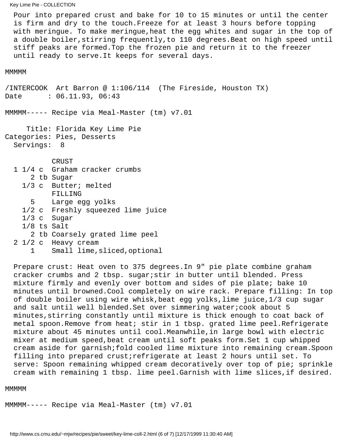Pour into prepared crust and bake for 10 to 15 minutes or until the center is firm and dry to the touch.Freeze for at least 3 hours before topping with meringue. To make meringue,heat the egg whites and sugar in the top of a double boiler,stirring frequently,to 110 degrees.Beat on high speed until stiff peaks are formed.Top the frozen pie and return it to the freezer until ready to serve.It keeps for several days.

#### **MMMM**

/INTERCOOK Art Barron @ 1:106/114 (The Fireside, Houston TX) Date : 06.11.93, 06:43

MMMMM----- Recipe via Meal-Master (tm) v7.01

 Title: Florida Key Lime Pie Categories: Pies, Desserts Servings: 8

CRUST

- 1 1/4 c Graham cracker crumbs
	- 2 tb Sugar
	- 1/3 c Butter; melted FILLING 5 Large egg yolks 1/2 c Freshly squeezed lime juice
		-
	- 1/3 c Sugar
	- 1/8 ts Salt
	- 2 tb Coarsely grated lime peel
- 2 1/2 c Heavy cream
	- 1 Small lime,sliced,optional

 Prepare crust: Heat oven to 375 degrees.In 9" pie plate combine graham cracker crumbs and 2 tbsp. sugar;stir in butter until blended. Press mixture firmly and evenly over bottom and sides of pie plate; bake 10 minutes until browned.Cool completely on wire rack. Prepare filling: In top of double boiler using wire whisk,beat egg yolks,lime juice,1/3 cup sugar and salt until well blended.Set over simmering water;cook about 5 minutes,stirring constantly until mixture is thick enough to coat back of metal spoon.Remove from heat; stir in 1 tbsp. grated lime peel.Refrigerate mixture about 45 minutes until cool.Meanwhile,in large bowl with electric mixer at medium speed,beat cream until soft peaks form.Set 1 cup whipped cream aside for garnish;fold cooled lime mixture into remaining cream.Spoon filling into prepared crust;refrigerate at least 2 hours until set. To serve: Spoon remaining whipped cream decoratively over top of pie; sprinkle cream with remaining 1 tbsp. lime peel.Garnish with lime slices,if desired.

#### MMMMM

MMMMM----- Recipe via Meal-Master (tm) v7.01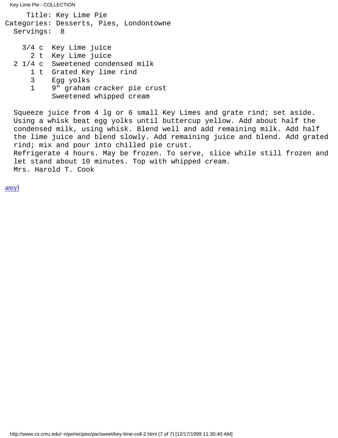Title: Key Lime Pie Categories: Desserts, Pies, Londontowne Servings: 8 3/4 c Key Lime juice 2 t Key Lime juice 2 1/4 c Sweetened condensed milk 1 t Grated Key lime rind 3 Egg yolks 1 9" graham cracker pie crust Sweetened whipped cream Key Lime Pie - COLLECTION

 Squeeze juice from 4 lg or 6 small Key Limes and grate rind; set aside. Using a whisk beat egg yolks until buttercup yellow. Add about half the condensed milk, using whisk. Blend well and add remaining milk. Add half the lime juice and blend slowly. Add remaining juice and blend. Add grated rind; mix and pour into chilled pie crust. Refrigerate 4 hours. May be frozen. To serve, slice while still frozen and let stand about 10 minutes. Top with whipped cream.

Mrs. Harold T. Cook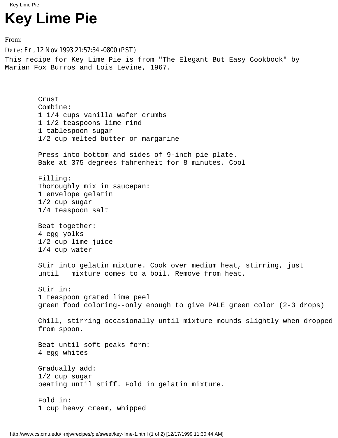Key Lime Pie

## **Key Lime Pie**

From:

Date: **Fri, 12 Nov 1993 21:57:34 -0800 (PST)** This recipe for Key Lime Pie is from "The Elegant But Easy Cookbook" by Marian Fox Burros and Lois Levine, 1967. Crust Combine: 1 1/4 cups vanilla wafer crumbs 1 1/2 teaspoons lime rind 1 tablespoon sugar 1/2 cup melted butter or margarine Press into bottom and sides of 9-inch pie plate. Bake at 375 degrees fahrenheit for 8 minutes. Cool Filling: Thoroughly mix in saucepan: 1 envelope gelatin 1/2 cup sugar 1/4 teaspoon salt Beat together: 4 egg yolks 1/2 cup lime juice 1/4 cup water Stir into gelatin mixture. Cook over medium heat, stirring, just until mixture comes to a boil. Remove from heat. Stir in: 1 teaspoon grated lime peel green food coloring--only enough to give PALE green color (2-3 drops) Chill, stirring occasionally until mixture mounds slightly when dropped from spoon. Beat until soft peaks form: 4 egg whites Gradually add: 1/2 cup sugar beating until stiff. Fold in gelatin mixture. Fold in: 1 cup heavy cream, whipped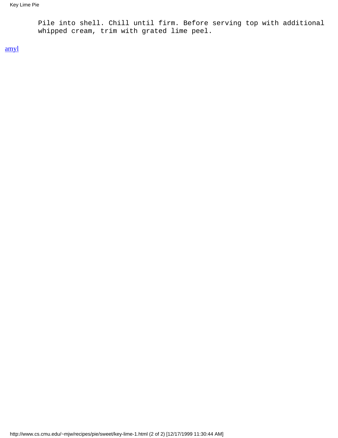Pile into shell. Chill until firm. Before serving top with additional whipped cream, trim with grated lime peel.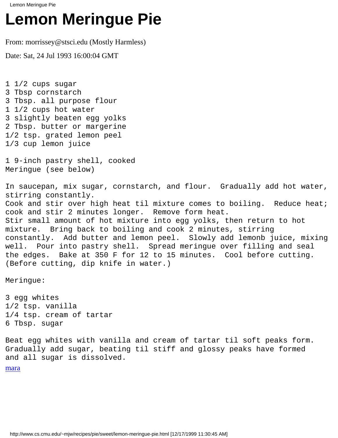Lemon Meringue Pie

## **Lemon Meringue Pie**

From: morrissey@stsci.edu (Mostly Harmless)

Date: Sat, 24 Jul 1993 16:00:04 GMT

1 1/2 cups sugar 3 Tbsp cornstarch 3 Tbsp. all purpose flour 1 1/2 cups hot water 3 slightly beaten egg yolks 2 Tbsp. butter or margerine 1/2 tsp. grated lemon peel 1/3 cup lemon juice 1 9-inch pastry shell, cooked Meringue (see below)

In saucepan, mix sugar, cornstarch, and flour. Gradually add hot water, stirring constantly. Cook and stir over high heat til mixture comes to boiling. Reduce heat; cook and stir 2 minutes longer. Remove form heat. Stir small amount of hot mixture into egg yolks, then return to hot mixture. Bring back to boiling and cook 2 minutes, stirring constantly. Add butter and lemon peel. Slowly add lemonb juice, mixing well. Pour into pastry shell. Spread meringue over filling and seal the edges. Bake at 350 F for 12 to 15 minutes. Cool before cutting. (Before cutting, dip knife in water.)

Meringue:

3 egg whites 1/2 tsp. vanilla 1/4 tsp. cream of tartar 6 Tbsp. sugar

Beat egg whites with vanilla and cream of tartar til soft peaks form. Gradually add sugar, beating til stiff and glossy peaks have formed and all sugar is dissolved.

[mara](http://www.mcs.vuw.ac.nz/school/staff/Amy-Gale.html)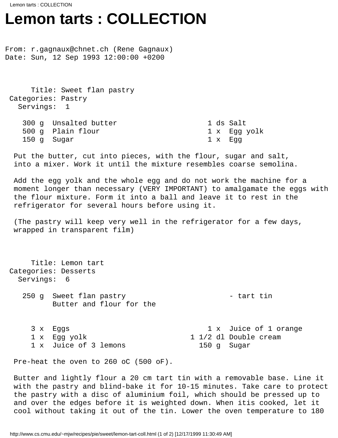### **Lemon tarts : COLLECTION**

From: r.gagnaux@chnet.ch (Rene Gagnaux) Date: Sun, 12 Sep 1993 12:00:00 +0200

 Title: Sweet flan pastry Categories: Pastry Servings: 1

|  | 300 q Unsalted butter |  | 1 ds Salt    |
|--|-----------------------|--|--------------|
|  | 500 q Plain flour     |  | 1 x Eqq yolk |
|  | 150 g Sugar           |  | 1 x Eqq      |

 Put the butter, cut into pieces, with the flour, sugar and salt, into a mixer. Work it until the mixture resembles coarse semolina.

 Add the egg yolk and the whole egg and do not work the machine for a moment longer than necessary (VERY IMPORTANT) to amalgamate the eggs with the flour mixture. Form it into a ball and leave it to rest in the refrigerator for several hours before using it.

 (The pastry will keep very well in the refrigerator for a few days, wrapped in transparent film)

 Title: Lemon tart Categories: Desserts Servings: 6 250 g Sweet flan pastry - tart tin Butter and flour for the

3 x Eggs 1 x Juice of 1 orange 1 x Egg yolk 1 1/2 dl Double cream 1 x Juice of 3 lemons 150 g Sugar

Pre-heat the oven to 260 oC (500 oF).

 Butter and lightly flour a 20 cm tart tin with a removable base. Line it with the pastry and blind-bake it for 10-15 minutes. Take care to protect the pastry with a disc of aluminium foil, which should be pressed up to and over the edges before it is weighted down. When itis cooked, let it cool without taking it out of the tin. Lower the oven temperature to 180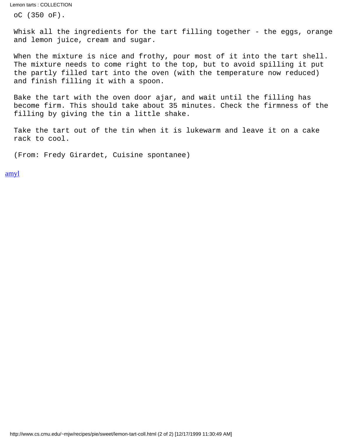Lemon tarts : COLLECTION

oC (350 oF).

Whisk all the ingredients for the tart filling together - the eggs, orange and lemon juice, cream and sugar.

When the mixture is nice and frothy, pour most of it into the tart shell. The mixture needs to come right to the top, but to avoid spilling it put the partly filled tart into the oven (with the temperature now reduced) and finish filling it with a spoon.

 Bake the tart with the oven door ajar, and wait until the filling has become firm. This should take about 35 minutes. Check the firmness of the filling by giving the tin a little shake.

 Take the tart out of the tin when it is lukewarm and leave it on a cake rack to cool.

(From: Fredy Girardet, Cuisine spontanee)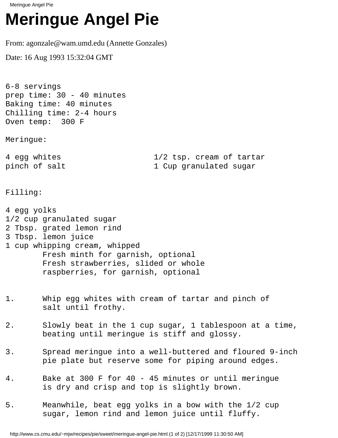Meringue Angel Pie

# **Meringue Angel Pie**

From: agonzale@wam.umd.edu (Annette Gonzales)

Date: 16 Aug 1993 15:32:04 GMT

6-8 servings prep time: 30 - 40 minutes Baking time: 40 minutes Chilling time: 2-4 hours Oven temp: 300 F Meringue: 4 egg whites 1/2 tsp. cream of tartar pinch of salt 1 Cup granulated sugar Filling: 4 egg yolks 1/2 cup granulated sugar 2 Tbsp. grated lemon rind 3 Tbsp. lemon juice 1 cup whipping cream, whipped Fresh minth for garnish, optional Fresh strawberries, slided or whole raspberries, for garnish, optional 1. Whip egg whites with cream of tartar and pinch of salt until frothy. 2. Slowly beat in the 1 cup sugar, 1 tablespoon at a time, beating until meringue is stiff and glossy. 3. Spread meringue into a well-buttered and floured 9-inch pie plate but reserve some for piping around edges. 4. Bake at 300 F for 40 - 45 minutes or until meringue is dry and crisp and top is slightly brown. 5. Meanwhile, beat egg yolks in a bow with the 1/2 cup sugar, lemon rind and lemon juice until fluffy.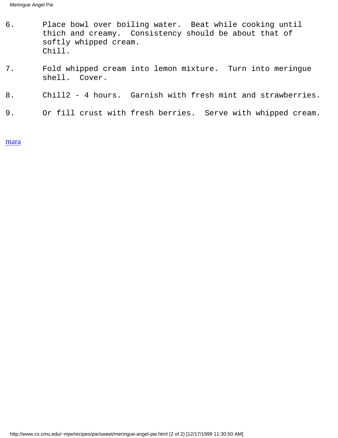- 6. Place bowl over boiling water. Beat while cooking until thich and creamy. Consistency should be about that of softly whipped cream. Chill.
- 7. Fold whipped cream into lemon mixture. Turn into meringue shell. Cover.
- 8. Chill2 4 hours. Garnish with fresh mint and strawberries.
- 9. Or fill crust with fresh berries. Serve with whipped cream.

[mara](http://www.mcs.vuw.ac.nz/school/staff/Amy-Gale.html)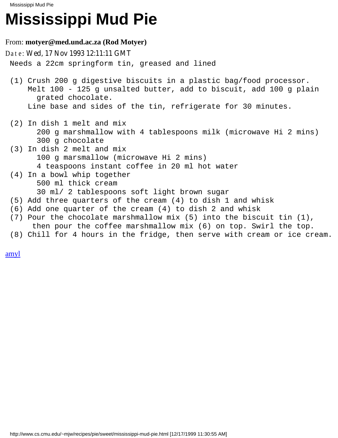#### Mississippi Mud Pie

# **Mississippi Mud Pie**

|                                     | From: motyer@med.und.ac.za (Rod Motyer)                                                                                                                       |  |  |
|-------------------------------------|---------------------------------------------------------------------------------------------------------------------------------------------------------------|--|--|
| Date: Wed, 17 Nov 1993 12:11:11 GMT |                                                                                                                                                               |  |  |
|                                     | Needs a 22cm springform tin, greased and lined                                                                                                                |  |  |
|                                     | (1) Crush 200 g digestive biscuits in a plastic bag/food processor.<br>Melt 100 - 125 g unsalted butter, add to biscuit, add 100 g plain<br>grated chocolate. |  |  |
|                                     | Line base and sides of the tin, refrigerate for 30 minutes.                                                                                                   |  |  |
|                                     | (2) In dish 1 melt and mix                                                                                                                                    |  |  |
|                                     | 200 g marshmallow with 4 tablespoons milk (microwave Hi 2 mins)<br>300 g chocolate                                                                            |  |  |
|                                     | (3) In dish 2 melt and mix                                                                                                                                    |  |  |
|                                     | 100 g marsmallow (microwave Hi 2 mins)                                                                                                                        |  |  |
|                                     | 4 teaspoons instant coffee in 20 ml hot water                                                                                                                 |  |  |
|                                     | (4) In a bowl whip together                                                                                                                                   |  |  |
|                                     | 500 ml thick cream                                                                                                                                            |  |  |
|                                     | 30 ml/ 2 tablespoons soft light brown sugar                                                                                                                   |  |  |
|                                     | $(5)$ Add three quarters of the cream $(4)$ to dish 1 and whisk                                                                                               |  |  |
|                                     | $(6)$ Add one quarter of the cream $(4)$ to dish 2 and whisk                                                                                                  |  |  |
|                                     | (7) Pour the chocolate marshmallow mix (5) into the biscuit tin (1),<br>then pour the coffee marshmallow mix (6) on top. Swirl the top.                       |  |  |
|                                     | (8) Chill for 4 hours in the fridge, then serve with cream or ice cream.                                                                                      |  |  |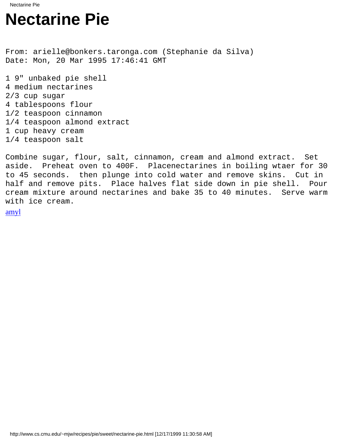#### Nectarine Pie

# **Nectarine Pie**

From: arielle@bonkers.taronga.com (Stephanie da Silva) Date: Mon, 20 Mar 1995 17:46:41 GMT

1 9" unbaked pie shell 4 medium nectarines 2/3 cup sugar 4 tablespoons flour 1/2 teaspoon cinnamon 1/4 teaspoon almond extract 1 cup heavy cream 1/4 teaspoon salt

Combine sugar, flour, salt, cinnamon, cream and almond extract. Set aside. Preheat oven to 400F. Placenectarines in boiling wtaer for 30 to 45 seconds. then plunge into cold water and remove skins. Cut in half and remove pits. Place halves flat side down in pie shell. Pour cream mixture around nectarines and bake 35 to 40 minutes. Serve warm with ice cream.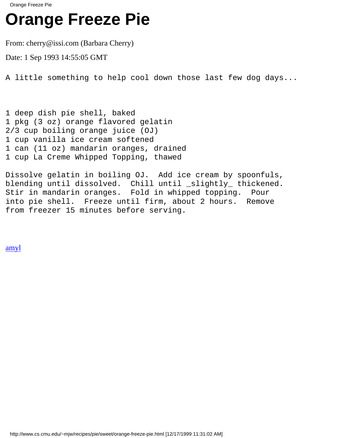Orange Freeze Pie

### **Orange Freeze Pie**

From: cherry@issi.com (Barbara Cherry)

Date: 1 Sep 1993 14:55:05 GMT

A little something to help cool down those last few dog days...

1 deep dish pie shell, baked 1 pkg (3 oz) orange flavored gelatin 2/3 cup boiling orange juice (OJ) 1 cup vanilla ice cream softened 1 can (11 oz) mandarin oranges, drained 1 cup La Creme Whipped Topping, thawed

Dissolve gelatin in boiling OJ. Add ice cream by spoonfuls, blending until dissolved. Chill until \_slightly\_ thickened. Stir in mandarin oranges. Fold in whipped topping. Pour into pie shell. Freeze until firm, about 2 hours. Remove from freezer 15 minutes before serving.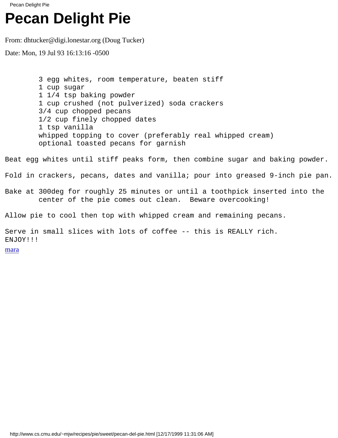Pecan Delight Pie

### **Pecan Delight Pie**

From: dhtucker@digi.lonestar.org (Doug Tucker)

Date: Mon, 19 Jul 93 16:13:16 -0500

 3 egg whites, room temperature, beaten stiff 1 cup sugar 1 1/4 tsp baking powder 1 cup crushed (not pulverized) soda crackers 3/4 cup chopped pecans 1/2 cup finely chopped dates 1 tsp vanilla whipped topping to cover (preferably real whipped cream) optional toasted pecans for garnish

Beat egg whites until stiff peaks form, then combine sugar and baking powder.

Fold in crackers, pecans, dates and vanilla; pour into greased 9-inch pie pan.

Bake at 300deg for roughly 25 minutes or until a toothpick inserted into the center of the pie comes out clean. Beware overcooking!

Allow pie to cool then top with whipped cream and remaining pecans.

Serve in small slices with lots of coffee -- this is REALLY rich.

ENJOY!!!

[mara](http://www.mcs.vuw.ac.nz/school/staff/Amy-Gale.html)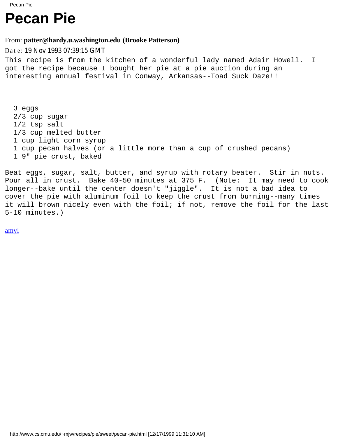Pecan Pie

### **Pecan Pie**

#### From: **patter@hardy.u.washington.edu (Brooke Patterson)**

Date: **19 Nov 1993 07:39:15 GMT**

This recipe is from the kitchen of a wonderful lady named Adair Howell. I got the recipe because I bought her pie at a pie auction during an interesting annual festival in Conway, Arkansas--Toad Suck Daze!!

 3 eggs 2/3 cup sugar 1/2 tsp salt 1/3 cup melted butter 1 cup light corn syrup 1 cup pecan halves (or a little more than a cup of crushed pecans) 1 9" pie crust, baked

Beat eggs, sugar, salt, butter, and syrup with rotary beater. Stir in nuts. Pour all in crust. Bake 40-50 minutes at 375 F. (Note: It may need to cook longer--bake until the center doesn't "jiggle". It is not a bad idea to cover the pie with aluminum foil to keep the crust from burning--many times it will brown nicely even with the foil; if not, remove the foil for the last 5-10 minutes.)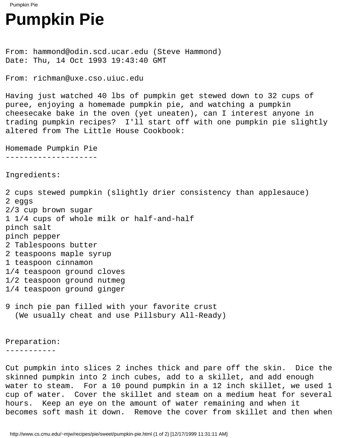Pumpkin Pie

## **Pumpkin Pie**

From: hammond@odin.scd.ucar.edu (Steve Hammond) Date: Thu, 14 Oct 1993 19:43:40 GMT

From: richman@uxe.cso.uiuc.edu

Having just watched 40 lbs of pumpkin get stewed down to 32 cups of puree, enjoying a homemade pumpkin pie, and watching a pumpkin cheesecake bake in the oven (yet uneaten), can I interest anyone in trading pumpkin recipes? I'll start off with one pumpkin pie slightly altered from The Little House Cookbook:

Homemade Pumpkin Pie --------------------

Ingredients:

2 cups stewed pumpkin (slightly drier consistency than applesauce) 2 eggs 2/3 cup brown sugar 1 1/4 cups of whole milk or half-and-half pinch salt pinch pepper 2 Tablespoons butter 2 teaspoons maple syrup 1 teaspoon cinnamon 1/4 teaspoon ground cloves 1/2 teaspoon ground nutmeg 1/4 teaspoon ground ginger

9 inch pie pan filled with your favorite crust (We usually cheat and use Pillsbury All-Ready)

Preparation: -----------

Cut pumpkin into slices 2 inches thick and pare off the skin. Dice the skinned pumpkin into 2 inch cubes, add to a skillet, and add enough water to steam. For a 10 pound pumpkin in a 12 inch skillet, we used 1 cup of water. Cover the skillet and steam on a medium heat for several hours. Keep an eye on the amount of water remaining and when it becomes soft mash it down. Remove the cover from skillet and then when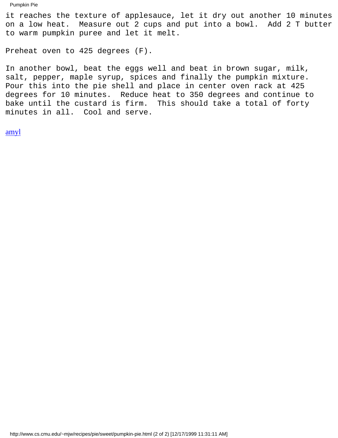Pumpkin Pie

it reaches the texture of applesauce, let it dry out another 10 minutes on a low heat. Measure out 2 cups and put into a bowl. Add 2 T butter to warm pumpkin puree and let it melt.

Preheat oven to 425 degrees (F).

In another bowl, beat the eggs well and beat in brown sugar, milk, salt, pepper, maple syrup, spices and finally the pumpkin mixture. Pour this into the pie shell and place in center oven rack at 425 degrees for 10 minutes. Reduce heat to 350 degrees and continue to bake until the custard is firm. This should take a total of forty minutes in all. Cool and serve.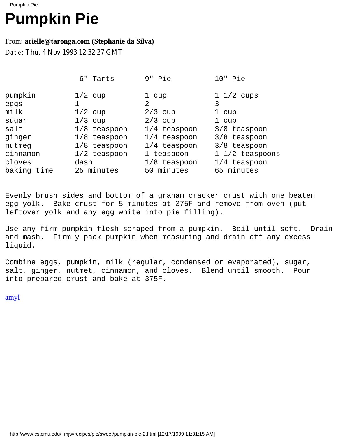## **Pumpkin Pie**

#### From: **arielle@taronga.com (Stephanie da Silva)**

Date: **Thu, 4 Nov 1993 12:32:27 GMT**

| 6 "<br>Tarts   | 9" Pie         | 10" Pie             |
|----------------|----------------|---------------------|
|                |                |                     |
| $1/2$ cup      | 1 cup          | $1\frac{1}{2}$ cups |
|                | 2              | 3                   |
| $1/2$ cup      | $2/3$ cup      | 1 cup               |
| $1/3$ cup      | $2/3$ cup      | 1 cup               |
| $1/8$ teaspoon | $1/4$ teaspoon | 3/8 teaspoon        |
| $1/8$ teaspoon | $1/4$ teaspoon | $3/8$ teaspoon      |
| $1/8$ teaspoon | $1/4$ teaspoon | 3/8 teaspoon        |
| $1/2$ teaspoon | 1 teaspoon     | 1 1/2 teaspoons     |
| dash           | $1/8$ teaspoon | $1/4$ teaspoon      |
| 25 minutes     | 50 minutes     | 65 minutes          |
|                |                |                     |

Evenly brush sides and bottom of a graham cracker crust with one beaten egg yolk. Bake crust for 5 minutes at 375F and remove from oven (put leftover yolk and any egg white into pie filling).

Use any firm pumpkin flesh scraped from a pumpkin. Boil until soft. Drain and mash. Firmly pack pumpkin when measuring and drain off any excess liquid.

Combine eggs, pumpkin, milk (regular, condensed or evaporated), sugar, salt, ginger, nutmet, cinnamon, and cloves. Blend until smooth. Pour into prepared crust and bake at 375F.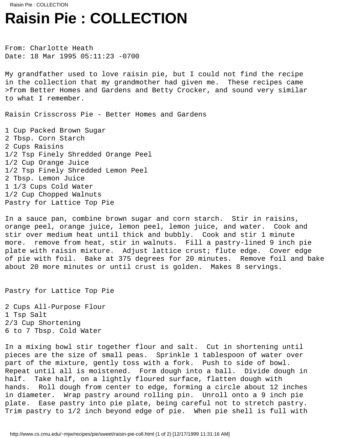Raisin Pie : COLLECTION

## **Raisin Pie : COLLECTION**

From: Charlotte Heath Date: 18 Mar 1995 05:11:23 -0700

My grandfather used to love raisin pie, but I could not find the recipe in the collection that my grandmother had given me. These recipes came >from Better Homes and Gardens and Betty Crocker, and sound very similar to what I remember.

Raisin Crisscross Pie - Better Homes and Gardens

1 Cup Packed Brown Sugar 2 Tbsp. Corn Starch 2 Cups Raisins 1/2 Tsp Finely Shredded Orange Peel 1/2 Cup Orange Juice 1/2 Tsp Finely Shredded Lemon Peel 2 Tbsp. Lemon Juice 1 1/3 Cups Cold Water 1/2 Cup Chopped Walnuts Pastry for Lattice Top Pie

In a sauce pan, combine brown sugar and corn starch. Stir in raisins, orange peel, orange juice, lemon peel, lemon juice, and water. Cook and stir over medium heat until thick and bubbly. Cook and stir 1 minute more. remove from heat, stir in walnuts. Fill a pastry-lined 9 inch pie plate with raisin mixture. Adjust lattice crust; flute edge. Cover edge of pie with foil. Bake at 375 degrees for 20 minutes. Remove foil and bake about 20 more minutes or until crust is golden. Makes 8 servings.

Pastry for Lattice Top Pie

2 Cups All-Purpose Flour 1 Tsp Salt 2/3 Cup Shortening 6 to 7 Tbsp. Cold Water

In a mixing bowl stir together flour and salt. Cut in shortening until pieces are the size of small peas. Sprinkle 1 tablespoon of water over part of the mixture, gently toss with a fork. Push to side of bowl. Repeat until all is moistened. Form dough into a ball. Divide dough in half. Take half, on a lightly floured surface, flatten dough with hands. Roll dough from center to edge, forming a circle about 12 inches in diameter. Wrap pastry around rolling pin. Unroll onto a 9 inch pie plate. Ease pastry into pie plate, being careful not to stretch pastry. Trim pastry to 1/2 inch beyond edge of pie. When pie shell is full with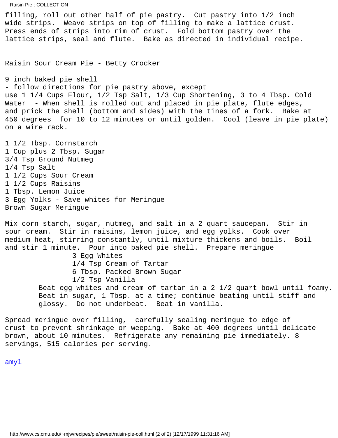filling, roll out other half of pie pastry. Cut pastry into 1/2 inch wide strips. Weave strips on top of filling to make a lattice crust. Press ends of strips into rim of crust. Fold bottom pastry over the lattice strips, seal and flute. Bake as directed in individual recipe. Raisin Sour Cream Pie - Betty Crocker 9 inch baked pie shell - follow directions for pie pastry above, except use 1 1/4 Cups Flour, 1/2 Tsp Salt, 1/3 Cup Shortening, 3 to 4 Tbsp. Cold Water - When shell is rolled out and placed in pie plate, flute edges, and prick the shell (bottom and sides) with the tines of a fork. Bake at 450 degrees for 10 to 12 minutes or until golden. Cool (leave in pie plate) on a wire rack. 1 1/2 Tbsp. Cornstarch 1 Cup plus 2 Tbsp. Sugar 3/4 Tsp Ground Nutmeg 1/4 Tsp Salt 1 1/2 Cups Sour Cream 1 1/2 Cups Raisins 1 Tbsp. Lemon Juice 3 Egg Yolks - Save whites for Meringue Raisin Pie : COLLECTION

Mix corn starch, sugar, nutmeg, and salt in a 2 quart saucepan. Stir in sour cream. Stir in raisins, lemon juice, and egg yolks. Cook over medium heat, stirring constantly, until mixture thickens and boils. Boil and stir 1 minute. Pour into baked pie shell. Prepare meringue

> 3 Egg Whites 1/4 Tsp Cream of Tartar 6 Tbsp. Packed Brown Sugar 1/2 Tsp Vanilla Beat egg whites and cream of tartar in a 2 1/2 quart bowl until foamy. Beat in sugar, 1 Tbsp. at a time; continue beating until stiff and glossy. Do not underbeat. Beat in vanilla.

Spread meringue over filling, carefully sealing meringue to edge of crust to prevent shrinkage or weeping. Bake at 400 degrees until delicate brown, about 10 minutes. Refrigerate any remaining pie immediately. 8 servings, 515 calories per serving.

[amyl](http://www.mcs.vuw.ac.nz/school/staff/Amy-Gale.html)

Brown Sugar Meringue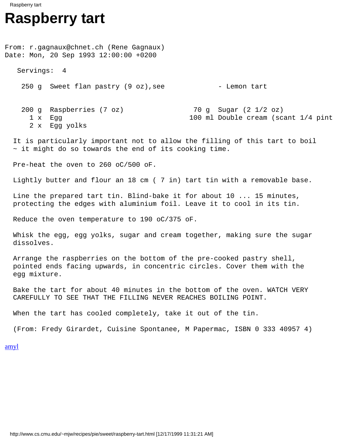Raspberry tart

### **Raspberry tart**

From: r.gagnaux@chnet.ch (Rene Gagnaux) Date: Mon, 20 Sep 1993 12:00:00 +0200

Servings: 4

250 g Sweet flan pastry (9 oz), see  $-$  Lemon tart

 200 g Raspberries (7 oz) 70 g Sugar (2 1/2 oz) 1 x Egg 100 ml Double cream (scant 1/4 pint 2 x Egg yolks

 It is particularly important not to allow the filling of this tart to boil ~ it might do so towards the end of its cooking time.

Pre-heat the oven to 260 oC/500 oF.

Lightly butter and flour an 18 cm ( 7 in) tart tin with a removable base.

 Line the prepared tart tin. Blind-bake it for about 10 ... 15 minutes, protecting the edges with aluminium foil. Leave it to cool in its tin.

Reduce the oven temperature to 190 oC/375 oF.

 Whisk the egg, egg yolks, sugar and cream together, making sure the sugar dissolves.

 Arrange the raspberries on the bottom of the pre-cooked pastry shell, pointed ends facing upwards, in concentric circles. Cover them with the egg mixture.

 Bake the tart for about 40 minutes in the bottom of the oven. WATCH VERY CAREFULLY TO SEE THAT THE FILLING NEVER REACHES BOILING POINT.

When the tart has cooled completely, take it out of the tin.

(From: Fredy Girardet, Cuisine Spontanee, M Papermac, ISBN 0 333 40957 4)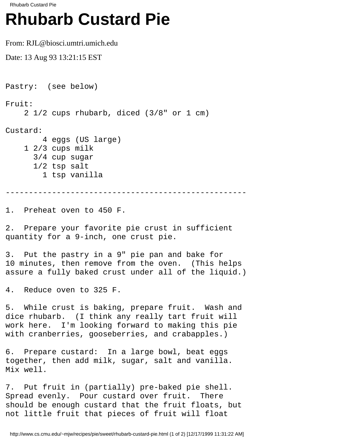Rhubarb Custard Pie

## **Rhubarb Custard Pie**

From: RJL@biosci.umtri.umich.edu Date: 13 Aug 93 13:21:15 EST Pastry: (see below) Fruit: 2 1/2 cups rhubarb, diced (3/8" or 1 cm) Custard: 4 eggs (US large) 1 2/3 cups milk 3/4 cup sugar 1/2 tsp salt 1 tsp vanilla ---------------------------------------------------- 1. Preheat oven to 450 F.

2. Prepare your favorite pie crust in sufficient quantity for a 9-inch, one crust pie.

3. Put the pastry in a 9" pie pan and bake for 10 minutes, then remove from the oven. (This helps assure a fully baked crust under all of the liquid.)

4. Reduce oven to 325 F.

5. While crust is baking, prepare fruit. Wash and dice rhubarb. (I think any really tart fruit will work here. I'm looking forward to making this pie with cranberries, gooseberries, and crabapples.)

6. Prepare custard: In a large bowl, beat eggs together, then add milk, sugar, salt and vanilla. Mix well.

7. Put fruit in (partially) pre-baked pie shell. Spread evenly. Pour custard over fruit. There should be enough custard that the fruit floats, but not little fruit that pieces of fruit will float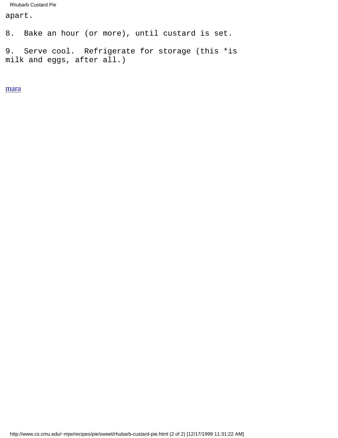Rhubarb Custard Pie

apart.

8. Bake an hour (or more), until custard is set.

9. Serve cool. Refrigerate for storage (this \*is milk and eggs, after all.)

[mara](http://www.mcs.vuw.ac.nz/school/staff/Amy-Gale.html)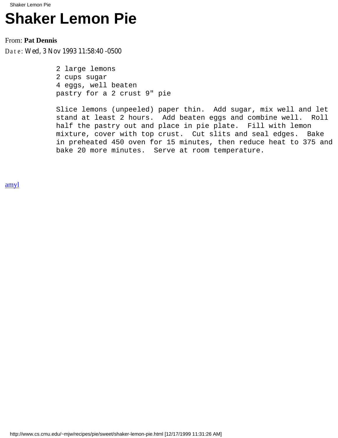Shaker Lemon Pie

### **Shaker Lemon Pie**

#### From: **Pat Dennis**

Date: **Wed, 3 Nov 1993 11:58:40 -0500**

 2 large lemons 2 cups sugar 4 eggs, well beaten pastry for a 2 crust 9" pie

 Slice lemons (unpeeled) paper thin. Add sugar, mix well and let stand at least 2 hours. Add beaten eggs and combine well. Roll half the pastry out and place in pie plate. Fill with lemon mixture, cover with top crust. Cut slits and seal edges. Bake in preheated 450 oven for 15 minutes, then reduce heat to 375 and bake 20 more minutes. Serve at room temperature.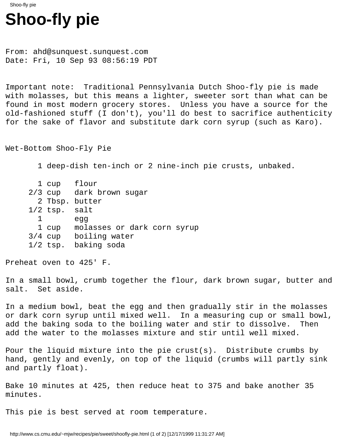Shoo-fly pie

# **Shoo-fly pie**

From: ahd@sunquest.sunquest.com Date: Fri, 10 Sep 93 08:56:19 PDT

Important note: Traditional Pennsylvania Dutch Shoo-fly pie is made with molasses, but this means a lighter, sweeter sort than what can be found in most modern grocery stores. Unless you have a source for the old-fashioned stuff (I don't), you'll do best to sacrifice authenticity for the sake of flavor and substitute dark corn syrup (such as Karo).

Wet-Bottom Shoo-Fly Pie

1 deep-dish ten-inch or 2 nine-inch pie crusts, unbaked.

| 1 cup flour     |                             |
|-----------------|-----------------------------|
|                 | 2/3 cup dark brown sugar    |
|                 | 2 Tbsp. butter              |
| $1/2$ tsp. salt |                             |
|                 | egg                         |
| 1 cup           | molasses or dark corn syrup |
|                 | 3/4 cup boiling water       |
| $1/0$ $+$ $-$   | $\lambda$                   |

1/2 tsp. baking soda

Preheat oven to 425' F.

In a small bowl, crumb together the flour, dark brown sugar, butter and salt. Set aside.

In a medium bowl, beat the egg and then gradually stir in the molasses or dark corn syrup until mixed well. In a measuring cup or small bowl, add the baking soda to the boiling water and stir to dissolve. Then add the water to the molasses mixture and stir until well mixed.

Pour the liquid mixture into the pie crust(s). Distribute crumbs by hand, gently and evenly, on top of the liquid (crumbs will partly sink and partly float).

Bake 10 minutes at 425, then reduce heat to 375 and bake another 35 minutes.

This pie is best served at room temperature.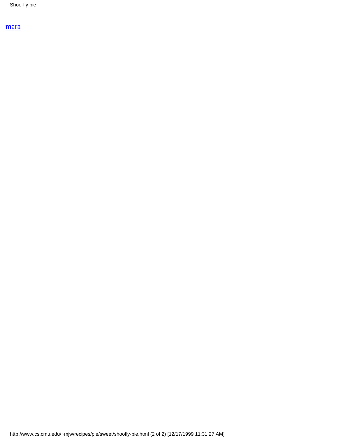Shoo-fly pie

#### [mara](http://www.mcs.vuw.ac.nz/school/staff/Amy-Gale.html)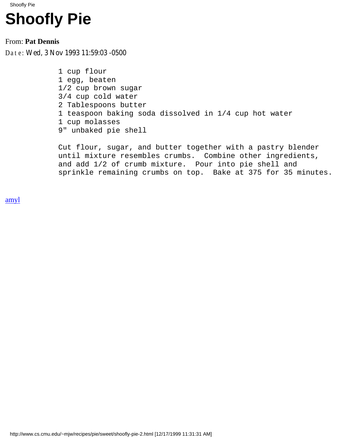Shoofly Pie

# **Shoofly Pie**

From: **Pat Dennis** Date: **Wed, 3 Nov 1993 11:59:03 -0500**

```
 1 cup flour
 1 egg, beaten
 1/2 cup brown sugar
 3/4 cup cold water
 2 Tablespoons butter
 1 teaspoon baking soda dissolved in 1/4 cup hot water
 1 cup molasses
 9" unbaked pie shell
```
 Cut flour, sugar, and butter together with a pastry blender until mixture resembles crumbs. Combine other ingredients, and add 1/2 of crumb mixture. Pour into pie shell and sprinkle remaining crumbs on top. Bake at 375 for 35 minutes.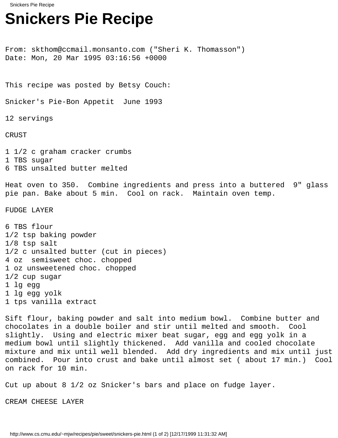Snickers Pie Recipe

## **Snickers Pie Recipe**

From: skthom@ccmail.monsanto.com ("Sheri K. Thomasson") Date: Mon, 20 Mar 1995 03:16:56 +0000

This recipe was posted by Betsy Couch:

Snicker's Pie-Bon Appetit June 1993

12 servings

CRUST

1 1/2 c graham cracker crumbs 1 TBS sugar 6 TBS unsalted butter melted

Heat oven to 350. Combine ingredients and press into a buttered 9" glass pie pan. Bake about 5 min. Cool on rack. Maintain oven temp.

FUDGE LAYER

6 TBS flour 1/2 tsp baking powder 1/8 tsp salt 1/2 c unsalted butter (cut in pieces) 4 oz semisweet choc. chopped 1 oz unsweetened choc. chopped 1/2 cup sugar 1 lg egg 1 lg egg yolk 1 tps vanilla extract

Sift flour, baking powder and salt into medium bowl. Combine butter and chocolates in a double boiler and stir until melted and smooth. Cool slightly. Using and electric mixer beat sugar, egg and egg yolk in a medium bowl until slightly thickened. Add vanilla and cooled chocolate mixture and mix until well blended. Add dry ingredients and mix until just combined. Pour into crust and bake until almost set ( about 17 min.) Cool on rack for 10 min.

Cut up about 8 1/2 oz Snicker's bars and place on fudge layer.

CREAM CHEESE LAYER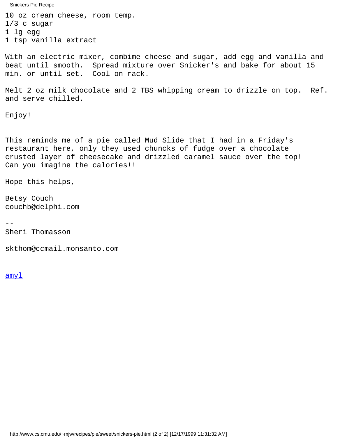Snickers Pie Recipe

10 oz cream cheese, room temp. 1/3 c sugar 1 lg egg 1 tsp vanilla extract

With an electric mixer, combime cheese and sugar, add egg and vanilla and beat until smooth. Spread mixture over Snicker's and bake for about 15 min. or until set. Cool on rack.

Melt 2 oz milk chocolate and 2 TBS whipping cream to drizzle on top. Ref. and serve chilled.

Enjoy!

This reminds me of a pie called Mud Slide that I had in a Friday's restaurant here, only they used chuncks of fudge over a chocolate crusted layer of cheesecake and drizzled caramel sauce over the top! Can you imagine the calories!!

Hope this helps,

Betsy Couch couchb@delphi.com

 $- -$ Sheri Thomasson

skthom@ccmail.monsanto.com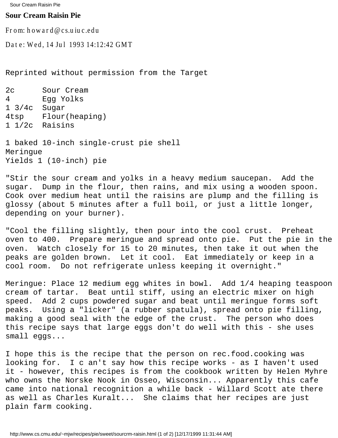Sour Cream Raisin Pie

#### **Sour Cream Raisin Pie**

From: howard@cs.uiuc.edu

Date: Wed, 14 Jul 1993 14:12:42 GMT

Reprinted without permission from the Target

2c Sour Cream 4 Egg Yolks 1 3/4c Sugar 4tsp Flour(heaping) 1 1/2c Raisins

1 baked 10-inch single-crust pie shell Meringue Yields 1 (10-inch) pie

"Stir the sour cream and yolks in a heavy medium saucepan. Add the sugar. Dump in the flour, then rains, and mix using a wooden spoon. Cook over medium heat until the raisins are plump and the filling is glossy (about 5 minutes after a full boil, or just a little longer, depending on your burner).

"Cool the filling slightly, then pour into the cool crust. Preheat oven to 400. Prepare meringue and spread onto pie. Put the pie in the oven. Watch closely for 15 to 20 minutes, then take it out when the peaks are golden brown. Let it cool. Eat immediately or keep in a cool room. Do not refrigerate unless keeping it overnight."

Meringue: Place 12 medium egg whites in bowl. Add 1/4 heaping teaspoon cream of tartar. Beat until stiff, using an electric mixer on high speed. Add 2 cups powdered sugar and beat until meringue forms soft peaks. Using a "licker" (a rubber spatula), spread onto pie filling, making a good seal with the edge of the crust. The person who does this recipe says that large eggs don't do well with this - she uses small eggs...

I hope this is the recipe that the person on rec.food.cooking was looking for. I c an't say how this recipe works - as I haven't used it - however, this recipes is from the cookbook written by Helen Myhre who owns the Norske Nook in Osseo, Wisconsin... Apparently this cafe came into national recognition a while back - Willard Scott ate there as well as Charles Kuralt... She claims that her recipes are just plain farm cooking.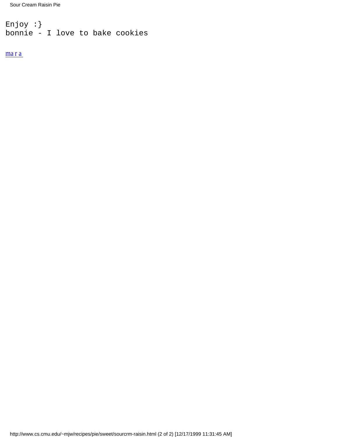Sour Cream Raisin Pie

```
Enjoy :}
bonnie - I love to bake cookies
```

```
mara
```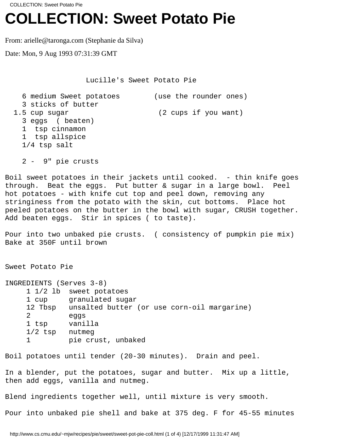COLLECTION: Sweet Potato Pie

### **COLLECTION: Sweet Potato Pie**

From: arielle@taronga.com (Stephanie da Silva)

Date: Mon, 9 Aug 1993 07:31:39 GMT

Lucille's Sweet Potato Pie

| 6 medium Sweet potatoes | (use the rounder ones) |
|-------------------------|------------------------|
| 3 sticks of butter      |                        |
| 1.5 cup sugar           | (2 cups if you want)   |
| 3 eggs (beaten)         |                        |
| 1 tsp cinnamon          |                        |
| 1 tsp allspice          |                        |
| $1/4$ tsp salt          |                        |
|                         |                        |

2 - 9" pie crusts

Boil sweet potatoes in their jackets until cooked. - thin knife goes through. Beat the eggs. Put butter & sugar in a large bowl. Peel hot potatoes - with knife cut top and peel down, removing any stringiness from the potato with the skin, cut bottoms. Place hot peeled potatoes on the butter in the bowl with sugar, CRUSH together. Add beaten eggs. Stir in spices ( to taste).

Pour into two unbaked pie crusts. ( consistency of pumpkin pie mix) Bake at 350F until brown

```
Sweet Potato Pie
```
INGREDIENTS (Serves 3-8)

|              | 1 1/2 lb sweet potatoes                             |
|--------------|-----------------------------------------------------|
| 1 cup        | granulated sugar                                    |
|              | 12 Tbsp unsalted butter (or use corn-oil margarine) |
| 2            | eaas                                                |
| 1 tsp        | vanilla                                             |
| $1/2$ tsp    | nutmeg                                              |
| $\mathbf{1}$ | pie crust, unbaked                                  |

Boil potatoes until tender (20-30 minutes). Drain and peel.

In a blender, put the potatoes, sugar and butter. Mix up a little, then add eggs, vanilla and nutmeg.

Blend ingredients together well, until mixture is very smooth.

Pour into unbaked pie shell and bake at 375 deg. F for 45-55 minutes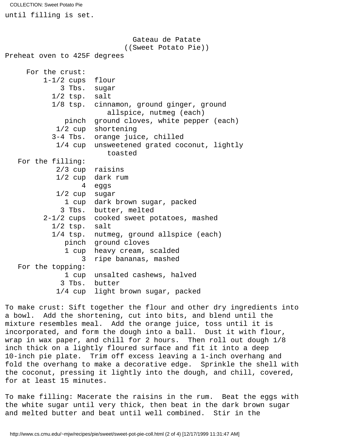COLLECTION: Sweet Potato Pie

until filling is set.

 Gateau de Patate ((Sweet Potato Pie)) Preheat oven to 425F degrees For the crust: 1-1/2 cups flour 3 Tbs. sugar 1/2 tsp. salt 1/8 tsp. cinnamon, ground ginger, ground allspice, nutmeg (each) pinch ground cloves, white pepper (each) 1/2 cup shortening 3-4 Tbs. orange juice, chilled 1/4 cup unsweetened grated coconut, lightly toasted For the filling: 2/3 cup raisins 1/2 cup dark rum 4 eggs 1/2 cup sugar 1 cup dark brown sugar, packed 3 Tbs. butter, melted 2-1/2 cups cooked sweet potatoes, mashed 1/2 tsp. salt 1/4 tsp. nutmeg, ground allspice (each) pinch ground cloves 1 cup heavy cream, scalded 3 ripe bananas, mashed For the topping: 1 cup unsalted cashews, halved 3 Tbs. butter 1/4 cup light brown sugar, packed

To make crust: Sift together the flour and other dry ingredients into a bowl. Add the shortening, cut into bits, and blend until the mixture resembles meal. Add the orange juice, toss until it is incorporated, and form the dough into a ball. Dust it with flour, wrap in wax paper, and chill for 2 hours. Then roll out dough 1/8 inch thick on a lightly floured surface and fit it into a deep 10-inch pie plate. Trim off excess leaving a 1-inch overhang and fold the overhang to make a decorative edge. Sprinkle the shell with the coconut, pressing it lightly into the dough, and chill, covered, for at least 15 minutes.

To make filling: Macerate the raisins in the rum. Beat the eggs with the white sugar until very thick, then beat in the dark brown sugar and melted butter and beat until well combined. Stir in the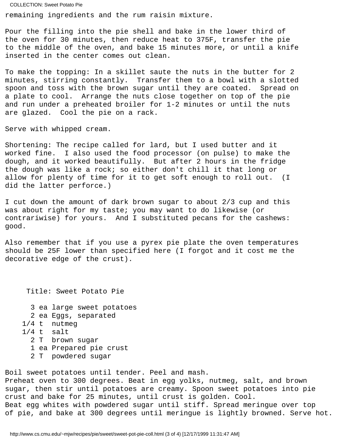COLLECTION: Sweet Potato Pie

remaining ingredients and the rum raisin mixture.

Pour the filling into the pie shell and bake in the lower third of the oven for 30 minutes, then reduce heat to 375F, transfer the pie to the middle of the oven, and bake 15 minutes more, or until a knife inserted in the center comes out clean.

To make the topping: In a skillet saute the nuts in the butter for 2 minutes, stirring constantly. Transfer them to a bowl with a slotted spoon and toss with the brown sugar until they are coated. Spread on a plate to cool. Arrange the nuts close together on top of the pie and run under a preheated broiler for 1-2 minutes or until the nuts are glazed. Cool the pie on a rack.

Serve with whipped cream.

Shortening: The recipe called for lard, but I used butter and it worked fine. I also used the food processor (on pulse) to make the dough, and it worked beautifully. But after 2 hours in the fridge the dough was like a rock; so either don't chill it that long or allow for plenty of time for it to get soft enough to roll out. (I did the latter perforce.)

I cut down the amount of dark brown sugar to about 2/3 cup and this was about right for my taste; you may want to do likewise (or contrariwise) for yours. And I substituted pecans for the cashews: good.

Also remember that if you use a pyrex pie plate the oven temperatures should be 25F lower than specified here (I forgot and it cost me the decorative edge of the crust).

Title: Sweet Potato Pie

- 3 ea large sweet potatoes
- 2 ea Eggs, separated
- 1/4 t nutmeg
- 1/4 t salt
	- 2 T brown sugar
	- 1 ea Prepared pie crust
	- 2 T powdered sugar

Boil sweet potatoes until tender. Peel and mash.

Preheat oven to 300 degrees. Beat in egg yolks, nutmeg, salt, and brown sugar, then stir until potatoes are creamy. Spoon sweet potatoes into pie crust and bake for 25 minutes, until crust is golden. Cool. Beat egg whites with powdered sugar until stiff. Spread meringue over top of pie, and bake at 300 degrees until meringue is lightly browned. Serve hot.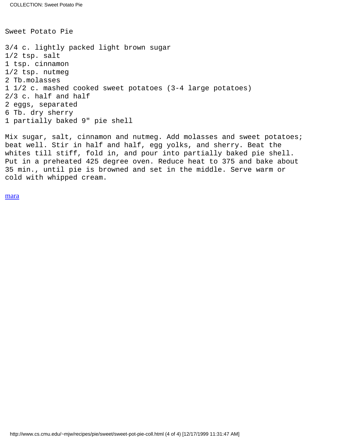Sweet Potato Pie 3/4 c. lightly packed light brown sugar 1/2 tsp. salt 1 tsp. cinnamon 1/2 tsp. nutmeg 2 Tb.molasses 1 1/2 c. mashed cooked sweet potatoes (3-4 large potatoes) 2/3 c. half and half 2 eggs, separated 6 Tb. dry sherry 1 partially baked 9" pie shell

Mix sugar, salt, cinnamon and nutmeg. Add molasses and sweet potatoes; beat well. Stir in half and half, egg yolks, and sherry. Beat the whites till stiff, fold in, and pour into partially baked pie shell. Put in a preheated 425 degree oven. Reduce heat to 375 and bake about 35 min., until pie is browned and set in the middle. Serve warm or cold with whipped cream.

[mara](http://www.mcs.vuw.ac.nz/school/staff/Amy-Gale.html)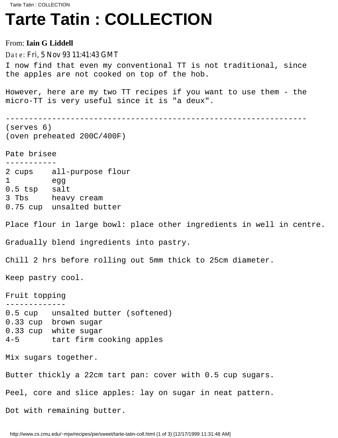```
Tarte Tatin : COLLECTION
```
# **Tarte Tatin : COLLECTION**

### From: **Iain G Liddell**

#### Date: **Fri, 5 Nov 93 11:41:43 GMT**

I now find that even my conventional TT is not traditional, since the apples are not cooked on top of the hob.

However, here are my two TT recipes if you want to use them - the micro-TT is very useful since it is "a deux".

```
-----------------------------------------------------------------
(serves 6) 
(oven preheated 200C/400F)
Pate brisee
-----------
2 cups all-purpose flour
1 egg
0.5 tsp salt
3 Tbs heavy cream
0.75 cup unsalted butter
Place flour in large bowl: place other ingredients in well in centre.
Gradually blend ingredients into pastry.
Chill 2 hrs before rolling out 5mm thick to 25cm diameter.
Keep pastry cool.
Fruit topping
-------------
0.5 cup unsalted butter (softened)
0.33 cup brown sugar
0.33 cup white sugar
4-5 tart firm cooking apples
Mix sugars together.
Butter thickly a 22cm tart pan: cover with 0.5 cup sugars.
Peel, core and slice apples: lay on sugar in neat pattern.
Dot with remaining butter.
```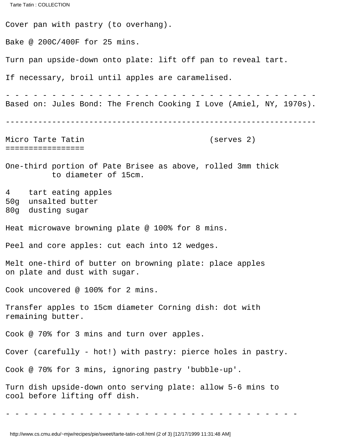Cover pan with pastry (to overhang). Bake @ 200C/400F for 25 mins. Turn pan upside-down onto plate: lift off pan to reveal tart. If necessary, broil until apples are caramelised. - - - - - - - - - - - - - - - - - - - - - - - - - - - - - - - - - - Based on: Jules Bond: The French Cooking I Love (Amiel, NY, 1970s). ------------------------------------------------------------------- Micro Tarte Tatin (serves 2) ================= One-third portion of Pate Brisee as above, rolled 3mm thick to diameter of 15cm. 4 tart eating apples 50g unsalted butter 80g dusting sugar Heat microwave browning plate @ 100% for 8 mins. Peel and core apples: cut each into 12 wedges. Melt one-third of butter on browning plate: place apples on plate and dust with sugar. Cook uncovered @ 100% for 2 mins. Transfer apples to 15cm diameter Corning dish: dot with remaining butter. Cook @ 70% for 3 mins and turn over apples. Cover (carefully - hot!) with pastry: pierce holes in pastry. Cook @ 70% for 3 mins, ignoring pastry 'bubble-up'. Turn dish upside-down onto serving plate: allow 5-6 mins to cool before lifting off dish.

Tarte Tatin : COLLECTION

- - - - - - - - - - - - - - - - - - - - - - - - - - - - - - - -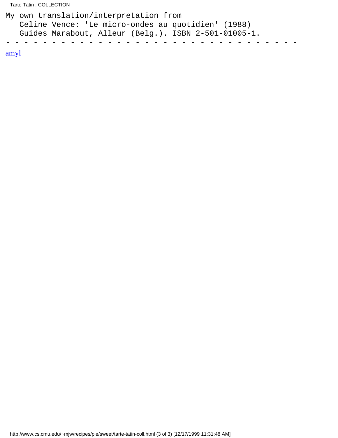Tarte Tatin : COLLECTION

My own translation/interpretation from Celine Vence: 'Le micro-ondes au quotidien' (1988) Guides Marabout, Alleur (Belg.). ISBN 2-501-01005-1. - - - - - - - - - - - - - - - - - - - - - - - - - - - - - - - -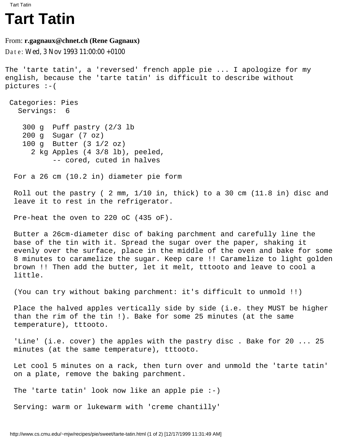Tart Tatin

### **Tart Tatin**

#### From: **r.gagnaux@chnet.ch (Rene Gagnaux)**

Date: **Wed, 3 Nov 1993 11:00:00 +0100**

The 'tarte tatin', a 'reversed' french apple pie ... I apologize for my english, because the 'tarte tatin' is difficult to describe without pictures :-(

 Categories: Pies Servings: 6

> 300 g Puff pastry (2/3 lb 200 g Sugar (7 oz) 100 g Butter (3 1/2 oz) 2 kg Apples (4 3/8 lb), peeled, -- cored, cuted in halves

For a 26 cm (10.2 in) diameter pie form

 Roll out the pastry ( 2 mm, 1/10 in, thick) to a 30 cm (11.8 in) disc and leave it to rest in the refrigerator.

Pre-heat the oven to 220 oC (435 oF).

 Butter a 26cm-diameter disc of baking parchment and carefully line the base of the tin with it. Spread the sugar over the paper, shaking it evenly over the surface, place in the middle of the oven and bake for some 8 minutes to caramelize the sugar. Keep care !! Caramelize to light golden brown !! Then add the butter, let it melt, tttooto and leave to cool a little.

(You can try without baking parchment: it's difficult to unmold !!)

 Place the halved apples vertically side by side (i.e. they MUST be higher than the rim of the tin !). Bake for some 25 minutes (at the same temperature), tttooto.

'Line' (i.e. cover) the apples with the pastry disc. Bake for 20 ... 25 minutes (at the same temperature), tttooto.

 Let cool 5 minutes on a rack, then turn over and unmold the 'tarte tatin' on a plate, remove the baking parchment.

The 'tarte tatin' look now like an apple pie  $:-)$ 

Serving: warm or lukewarm with 'creme chantilly'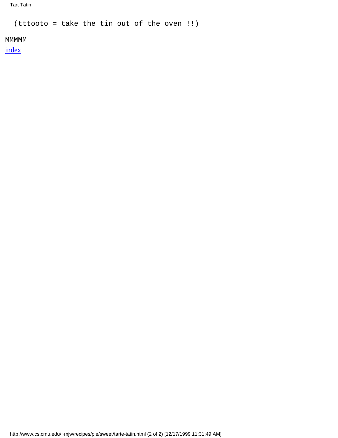Tart Tatin

(tttooto = take the tin out of the oven !!)

MMMMM

[index](http://www.mcs.vuw.ac.nz/school/staff/Amy-Gale.html)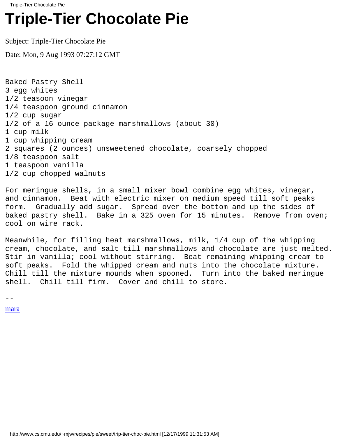Triple-Tier Chocolate Pie

## **Triple-Tier Chocolate Pie**

Subject: Triple-Tier Chocolate Pie

Date: Mon, 9 Aug 1993 07:27:12 GMT

Baked Pastry Shell 3 egg whites 1/2 teasoon vinegar 1/4 teaspoon ground cinnamon 1/2 cup sugar 1/2 of a 16 ounce package marshmallows (about 30) 1 cup milk 1 cup whipping cream 2 squares (2 ounces) unsweetened chocolate, coarsely chopped 1/8 teaspoon salt 1 teaspoon vanilla 1/2 cup chopped walnuts

For meringue shells, in a small mixer bowl combine egg whites, vinegar, and cinnamon. Beat with electric mixer on medium speed till soft peaks form. Gradually add sugar. Spread over the bottom and up the sides of baked pastry shell. Bake in a 325 oven for 15 minutes. Remove from oven; cool on wire rack.

Meanwhile, for filling heat marshmallows, milk, 1/4 cup of the whipping cream, chocolate, and salt till marshmallows and chocolate are just melted. Stir in vanilla; cool without stirring. Beat remaining whipping cream to soft peaks. Fold the whipped cream and nuts into the chocolate mixture. Chill till the mixture mounds when spooned. Turn into the baked meringue shell. Chill till firm. Cover and chill to store.

--

[mara](http://www.mcs.vuw.ac.nz/school/staff/Amy-Gale.html)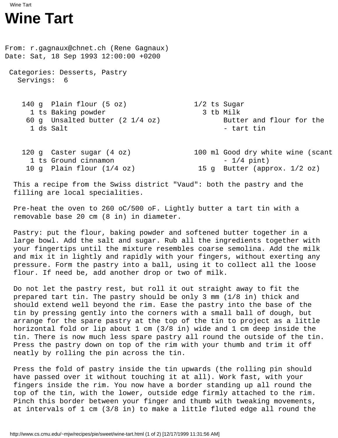### **Wine Tart** Wine Tart

From: r.gagnaux@chnet.ch (Rene Gagnaux) Date: Sat, 18 Sep 1993 12:00:00 +0200 Categories: Desserts, Pastry Servings: 6 140 g Plain flour (5 oz) 1/2 ts Sugar 1 ts Baking powder 3 tb Milk 60 g Unsalted butter (2 1/4 oz) Butter and flour for the 1 ds Salt - tart tin

 120 g Caster sugar (4 oz) 100 ml Good dry white wine (scant  $1$  ts Ground cinnamon  $-1/4$  pint) 10 g Plain flour (1/4 oz) 15 g Butter (approx. 1/2 oz)

 This a recipe from the Swiss district "Vaud": both the pastry and the filling are local specialities.

 Pre-heat the oven to 260 oC/500 oF. Lightly butter a tart tin with a removable base 20 cm (8 in) in diameter.

 Pastry: put the flour, baking powder and softened butter together in a large bowl. Add the salt and sugar. Rub all the ingredients together with your fingertips until the mixture resembles coarse semolina. Add the milk and mix it in lightly and rapidly with your fingers, without exerting any pressure. Form the pastry into a ball, using it to collect all the loose flour. If need be, add another drop or two of milk.

 Do not let the pastry rest, but roll it out straight away to fit the prepared tart tin. The pastry should be only 3 mm (1/8 in) thick and should extend well beyond the rim. Ease the pastry into the base of the tin by pressing gently into the corners with a small ball of dough, but arrange for the spare pastry at the top of the tin to project as a little horizontal fold or lip about 1 cm (3/8 in) wide and 1 cm deep inside the tin. There is now much less spare pastry all round the outside of the tin. Press the pastry down on top of the rim with your thumb and trim it off neatly by rolling the pin across the tin.

 Press the fold of pastry inside the tin upwards (the rolling pin should have passed over it without touching it at all). Work fast, with your fingers inside the rim. You now have a border standing up all round the top of the tin, with the lower, outside edge firmly attached to the rim. Pinch this border between your finger and thumb with tweaking movements, at intervals of 1 cm (3/8 in) to make a little fluted edge all round the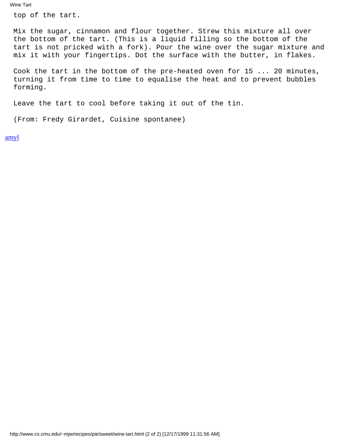Wine Tart

top of the tart.

 Mix the sugar, cinnamon and flour together. Strew this mixture all over the bottom of the tart. (This is a liquid filling so the bottom of the tart is not pricked with a fork). Pour the wine over the sugar mixture and mix it with your fingertips. Dot the surface with the butter, in flakes.

 Cook the tart in the bottom of the pre-heated oven for 15 ... 20 minutes, turning it from time to time to equalise the heat and to prevent bubbles forming.

Leave the tart to cool before taking it out of the tin.

(From: Fredy Girardet, Cuisine spontanee)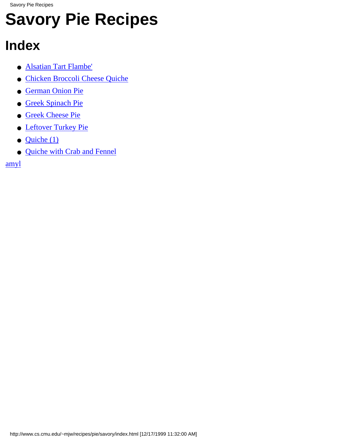Savory Pie Recipes

# **Savory Pie Recipes**

### **Index**

- [Alsatian Tart Flambe'](#page-84-0)
- [Chicken Broccoli Cheese Quiche](#page-85-0)
- [German Onion Pie](#page-87-0)
- [Greek Spinach Pie](http://www.cs.cmu.edu/~mjw/recipes/ethnic/greek/grk-spin-pie.html)
- [Greek Cheese Pie](http://www.cs.cmu.edu/~mjw/recipes/ethnic/greek/grk-chs-pie.html)
- [Leftover Turkey Pie](#page-88-0)
- [Quiche \(1\)](#page-89-0)
- [Quiche with Crab and Fennel](#page-90-0)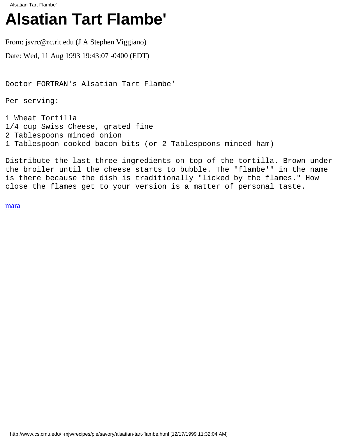<span id="page-84-0"></span>Alsatian Tart Flambe'

## **Alsatian Tart Flambe'**

From: jsvrc@rc.rit.edu (J A Stephen Viggiano)

Date: Wed, 11 Aug 1993 19:43:07 -0400 (EDT)

Doctor FORTRAN's Alsatian Tart Flambe'

Per serving:

1 Wheat Tortilla 1/4 cup Swiss Cheese, grated fine 2 Tablespoons minced onion 1 Tablespoon cooked bacon bits (or 2 Tablespoons minced ham)

Distribute the last three ingredients on top of the tortilla. Brown under the broiler until the cheese starts to bubble. The "flambe'" in the name is there because the dish is traditionally "licked by the flames." How close the flames get to your version is a matter of personal taste.

[mara](http://www.mcs.vuw.ac.nz/school/staff/Amy-Gale.html)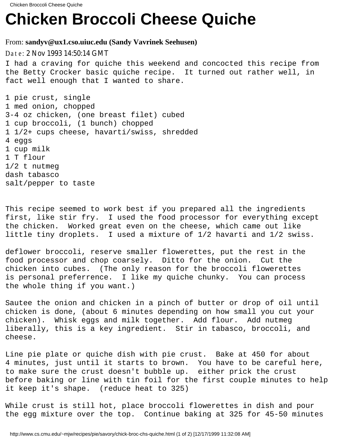```
Chicken Broccoli Cheese Quiche
```
## **Chicken Broccoli Cheese Quiche**

### From: **sandyv@ux1.cso.uiuc.edu (Sandy Vavrinek Seehusen)**

### Date: **2 Nov 1993 14:50:14 GMT**

I had a craving for quiche this weekend and concocted this recipe from the Betty Crocker basic quiche recipe. It turned out rather well, in fact well enough that I wanted to share.

1 pie crust, single 1 med onion, chopped 3-4 oz chicken, (one breast filet) cubed 1 cup broccoli, (1 bunch) chopped 1 1/2+ cups cheese, havarti/swiss, shredded 4 eggs 1 cup milk 1 T flour 1/2 t nutmeg dash tabasco salt/pepper to taste

This recipe seemed to work best if you prepared all the ingredients first, like stir fry. I used the food processor for everything except the chicken. Worked great even on the cheese, which came out like little tiny droplets. I used a mixture of 1/2 havarti and 1/2 swiss.

deflower broccoli, reserve smaller flowerettes, put the rest in the food processor and chop coarsely. Ditto for the onion. Cut the chicken into cubes. (The only reason for the broccoli flowerettes is personal preferrence. I like my quiche chunky. You can process the whole thing if you want.)

Sautee the onion and chicken in a pinch of butter or drop of oil until chicken is done, (about 6 minutes depending on how small you cut your chicken). Whisk eggs and milk together. Add flour. Add nutmeg liberally, this is a key ingredient. Stir in tabasco, broccoli, and cheese.

Line pie plate or quiche dish with pie crust. Bake at 450 for about 4 minutes, just until it starts to brown. You have to be careful here, to make sure the crust doesn't bubble up. either prick the crust before baking or line with tin foil for the first couple minutes to help it keep it's shape. (reduce heat to 325)

While crust is still hot, place broccoli flowerettes in dish and pour the egg mixture over the top. Continue baking at 325 for 45-50 minutes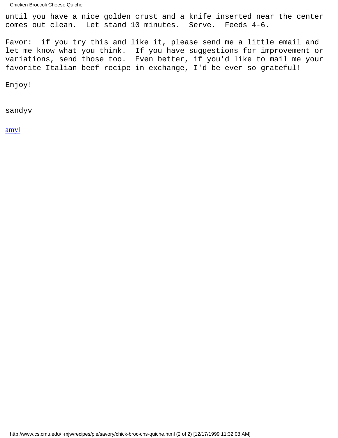until you have a nice golden crust and a knife inserted near the center comes out clean. Let stand 10 minutes. Serve. Feeds 4-6.

Favor: if you try this and like it, please send me a little email and let me know what you think. If you have suggestions for improvement or variations, send those too. Even better, if you'd like to mail me your favorite Italian beef recipe in exchange, I'd be ever so grateful!

Enjoy!

sandyv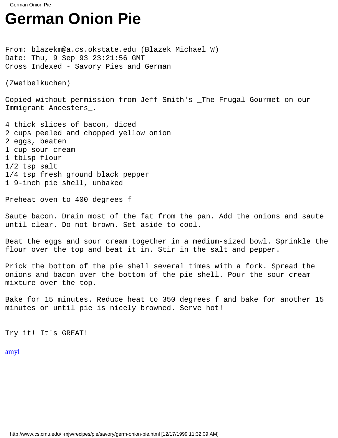```
German Onion Pie
```
### **German Onion Pie**

From: blazekm@a.cs.okstate.edu (Blazek Michael W) Date: Thu, 9 Sep 93 23:21:56 GMT Cross Indexed - Savory Pies and German

(Zweibelkuchen)

Copied without permission from Jeff Smith's \_The Frugal Gourmet on our Immigrant Ancesters\_.

4 thick slices of bacon, diced 2 cups peeled and chopped yellow onion 2 eggs, beaten 1 cup sour cream 1 tblsp flour 1/2 tsp salt 1/4 tsp fresh ground black pepper 1 9-inch pie shell, unbaked

Preheat oven to 400 degrees f

Saute bacon. Drain most of the fat from the pan. Add the onions and saute until clear. Do not brown. Set aside to cool.

Beat the eggs and sour cream together in a medium-sized bowl. Sprinkle the flour over the top and beat it in. Stir in the salt and pepper.

Prick the bottom of the pie shell several times with a fork. Spread the onions and bacon over the bottom of the pie shell. Pour the sour cream mixture over the top.

Bake for 15 minutes. Reduce heat to 350 degrees f and bake for another 15 minutes or until pie is nicely browned. Serve hot!

Try it! It's GREAT!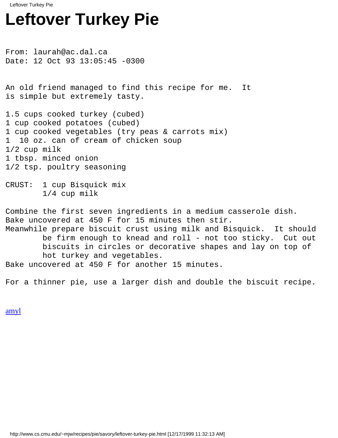<span id="page-88-0"></span>Leftover Turkey Pie

## **Leftover Turkey Pie**

From: laurah@ac.dal.ca Date: 12 Oct 93 13:05:45 -0300

An old friend managed to find this recipe for me. It is simple but extremely tasty.

1.5 cups cooked turkey (cubed) 1 cup cooked potatoes (cubed) 1 cup cooked vegetables (try peas & carrots mix) 1 10 oz. can of cream of chicken soup 1/2 cup milk 1 tbsp. minced onion 1/2 tsp. poultry seasoning

CRUST: 1 cup Bisquick mix 1/4 cup milk

Combine the first seven ingredients in a medium casserole dish. Bake uncovered at 450 F for 15 minutes then stir.

Meanwhile prepare biscuit crust using milk and Bisquick. It should be firm enough to knead and roll - not too sticky. Cut out biscuits in circles or decorative shapes and lay on top of hot turkey and vegetables.

Bake uncovered at 450 F for another 15 minutes.

For a thinner pie, use a larger dish and double the biscuit recipe.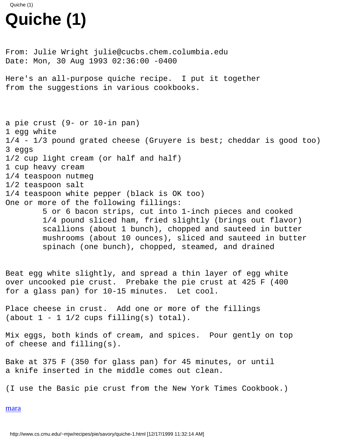### <span id="page-89-0"></span>**Quiche (1)** Quiche (1)

From: Julie Wright julie@cucbs.chem.columbia.edu Date: Mon, 30 Aug 1993 02:36:00 -0400 Here's an all-purpose quiche recipe. I put it together from the suggestions in various cookbooks. a pie crust (9- or 10-in pan) 1 egg white 1/4 - 1/3 pound grated cheese (Gruyere is best; cheddar is good too) 3 eggs 1/2 cup light cream (or half and half) 1 cup heavy cream 1/4 teaspoon nutmeg 1/2 teaspoon salt 1/4 teaspoon white pepper (black is OK too) One or more of the following fillings: 5 or 6 bacon strips, cut into 1-inch pieces and cooked 1/4 pound sliced ham, fried slightly (brings out flavor) scallions (about 1 bunch), chopped and sauteed in butter mushrooms (about 10 ounces), sliced and sauteed in butter spinach (one bunch), chopped, steamed, and drained Beat egg white slightly, and spread a thin layer of egg white over uncooked pie crust. Prebake the pie crust at 425 F (400

for a glass pan) for 10-15 minutes. Let cool.

Place cheese in crust. Add one or more of the fillings (about  $1 - 1$   $1/2$  cups filling(s) total).

Mix eggs, both kinds of cream, and spices. Pour gently on top of cheese and filling(s).

Bake at 375 F (350 for glass pan) for 45 minutes, or until a knife inserted in the middle comes out clean.

(I use the Basic pie crust from the New York Times Cookbook.)

[mara](http://www.mcs.vuw.ac.nz/school/staff/Amy-Gale.html)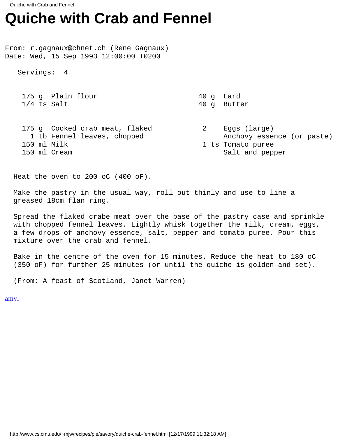<span id="page-90-0"></span>Quiche with Crab and Fennel

### **Quiche with Crab and Fennel**

From: r.gagnaux@chnet.ch (Rene Gagnaux) Date: Wed, 15 Sep 1993 12:00:00 +0200

Servings: 4

 175 g Plain flour 40 g Lard  $1/4$  ts Salt  $40$  g Butter

 175 g Cooked crab meat, flaked 2 Eggs (large) 1 tb Fennel leaves, chopped anchovy essence (or paste) 150 ml Milk 150 ml Milk 150 ml Cream Salt and pepper

Heat the oven to 200 oC (400 oF).

 Make the pastry in the usual way, roll out thinly and use to line a greased 18cm flan ring.

 Spread the flaked crabe meat over the base of the pastry case and sprinkle with chopped fennel leaves. Lightly whisk together the milk, cream, eggs, a few drops of anchovy essence, salt, pepper and tomato puree. Pour this mixture over the crab and fennel.

 Bake in the centre of the oven for 15 minutes. Reduce the heat to 180 oC (350 oF) for further 25 minutes (or until the quiche is golden and set).

(From: A feast of Scotland, Janet Warren)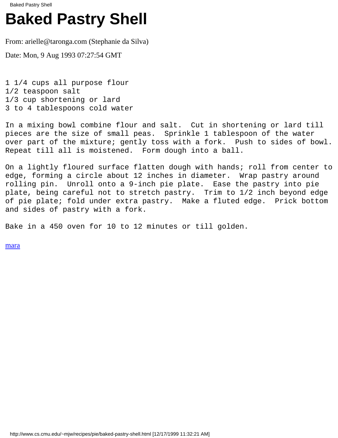Baked Pastry Shell

## **Baked Pastry Shell**

From: arielle@taronga.com (Stephanie da Silva)

Date: Mon, 9 Aug 1993 07:27:54 GMT

1 1/4 cups all purpose flour 1/2 teaspoon salt 1/3 cup shortening or lard 3 to 4 tablespoons cold water

In a mixing bowl combine flour and salt. Cut in shortening or lard till pieces are the size of small peas. Sprinkle 1 tablespoon of the water over part of the mixture; gently toss with a fork. Push to sides of bowl. Repeat till all is moistened. Form dough into a ball.

On a lightly floured surface flatten dough with hands; roll from center to edge, forming a circle about 12 inches in diameter. Wrap pastry around rolling pin. Unroll onto a 9-inch pie plate. Ease the pastry into pie plate, being careful not to stretch pastry. Trim to 1/2 inch beyond edge of pie plate; fold under extra pastry. Make a fluted edge. Prick bottom and sides of pastry with a fork.

Bake in a 450 oven for 10 to 12 minutes or till golden.

[mara](http://www.mcs.vuw.ac.nz/school/staff/Amy-Gale.html)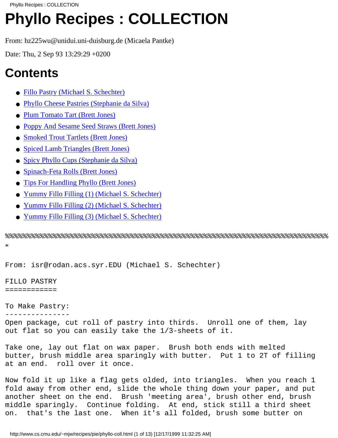From: hz225wu@unidui.uni-duisburg.de (Micaela Pantke)

Date: Thu, 2 Sep 93 13:29:29 +0200

### **Contents**

- [Fillo Pastry \(Michael S. Schechter\)](#page-92-0)
- [Phyllo Cheese Pastries \(Stephanie da Silva\)](#page-93-0)
- [Plum Tomato Tart \(Brett Jones\)](#page-94-0)
- [Poppy And Sesame Seed Straws \(Brett Jones\)](#page-95-0)
- [Smoked Trout Tartlets \(Brett Jones\)](#page-96-0)
- [Spiced Lamb Triangles \(Brett Jones\)](#page-97-0)
- [Spicy Phyllo Cups \(Stephanie da Silva\)](#page-99-0)
- [Spinach-Feta Rolls \(Brett Jones\)](#page-100-0)
- [Tips For Handling Phyllo \(Brett Jones\)](#page-102-0)
- [Yummy Fillo Filling \(1\) \(Michael S. Schechter\)](#page-103-0)
- [Yummy Fillo Filling \(2\) \(Michael S. Schechter\)](#page-103-1)
- [Yummy Fillo Filling \(3\) \(Michael S. Schechter\)](#page-104-0)

<span id="page-92-0"></span>%%%%%%%%%%%%%%%%%%%%%%%%%%%%%%%%%%%%%%%%%%%%%%%%%%%%%%%%%%%%%%%%%%%%%%%%%%% \*

From: isr@rodan.acs.syr.EDU (Michael S. Schechter)

FILLO PASTRY ============

#### To Make Pastry: ---------------

Open package, cut roll of pastry into thirds. Unroll one of them, lay out flat so you can easily take the 1/3-sheets of it.

Take one, lay out flat on wax paper. Brush both ends with melted butter, brush middle area sparingly with butter. Put 1 to 2T of filling at an end. roll over it once.

Now fold it up like a flag gets olded, into triangles. When you reach 1 fold away from other end, slide the whole thing down your paper, and put another sheet on the end. Brush 'meeting area', brush other end, brush middle sparingly. Continue folding. At end, stick still a third sheet on. that's the last one. When it's all folded, brush some butter on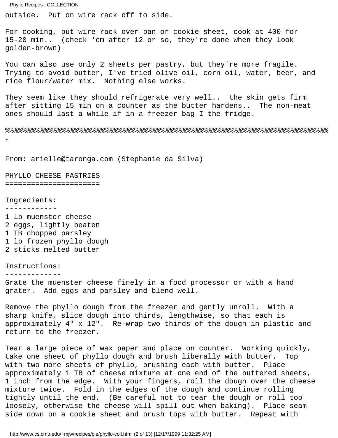outside. Put on wire rack off to side.

For cooking, put wire rack over pan or cookie sheet, cook at 400 for 15-20 min.. (check 'em after 12 or so, they're done when they look golden-brown)

You can also use only 2 sheets per pastry, but they're more fragile. Trying to avoid butter, I've tried olive oil, corn oil, water, beer, and rice flour/water mix. Nothing else works.

They seem like they should refrigerate very well.. the skin gets firm after sitting 15 min on a counter as the butter hardens.. The non-meat ones should last a while if in a freezer bag I the fridge.

<span id="page-93-0"></span>%%%%%%%%%%%%%%%%%%%%%%%%%%%%%%%%%%%%%%%%%%%%%%%%%%%%%%%%%%%%%%%%%%%%%%%%%%% \*

From: arielle@taronga.com (Stephanie da Silva)

PHYLLO CHEESE PASTRIES ======================

#### Ingredients:

- ------------ 1 lb muenster cheese
- 2 eggs, lightly beaten
- 
- 1 TB chopped parsley
- 1 lb frozen phyllo dough
- 2 sticks melted butter

Instructions:

-------------

Grate the muenster cheese finely in a food processor or with a hand grater. Add eggs and parsley and blend well.

Remove the phyllo dough from the freezer and gently unroll. With a sharp knife, slice dough into thirds, lengthwise, so that each is approximately 4" x 12". Re-wrap two thirds of the dough in plastic and return to the freezer.

Tear a large piece of wax paper and place on counter. Working quickly, take one sheet of phyllo dough and brush liberally with butter. Top with two more sheets of phyllo, brushing each with butter. Place approximately 1 TB of cheese mixture at one end of the buttered sheets, 1 inch from the edge. With your fingers, roll the dough over the cheese mixture twice. Fold in the edges of the dough and continue rolling tightly until the end. (Be careful not to tear the dough or roll too loosely, otherwise the cheese will spill out when baking). Place seam side down on a cookie sheet and brush tops with butter. Repeat with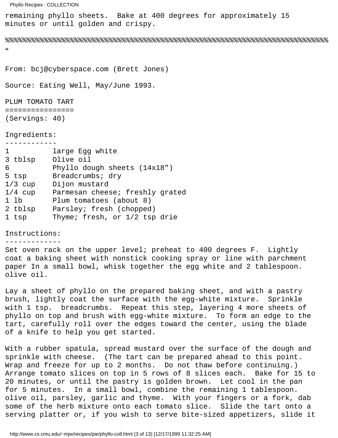```
remaining phyllo sheets. Bake at 400 degrees for approximately 15
minutes or until golden and crispy.
%%%%%%%%%%%%%%%%%%%%%%%%%%%%%%%%%%%%%%%%%%%%%%%%%%%%%%%%%%%%%%%%%%%%%%%%%%%
*
From: bcj@cyberspace.com (Brett Jones)
Source: Eating Well, May/June 1993.
PLUM TOMATO TART
================
(Servings: 40)
Ingredients:
------------
1 large Egg white
3 tblsp Olive oil
6 Phyllo dough sheets (14x18")
5 tsp Breadcrumbs; dry
1/3 cup Dijon mustard
1/4 cup Parmesan cheese; freshly grated
1 lb Plum tomatoes (about 8)
2 tblsp Parsley; fresh (chopped)
1 tsp Thyme; fresh, or 1/2 tsp drie
 Phyllo Recipes : COLLECTION
```
#### Instructions:

#### -------------

Set oven rack on the upper level; preheat to 400 degrees F. Lightly coat a baking sheet with nonstick cooking spray or line with parchment paper In a small bowl, whisk together the egg white and 2 tablespoon. olive oil.

Lay a sheet of phyllo on the prepared baking sheet, and with a pastry brush, lightly coat the surface with the egg-white mixture. Sprinkle with 1 tsp. breadcrumbs. Repeat this step, layering 4 more sheets of phyllo on top and brush with egg-white mixture. To form an edge to the tart, carefully roll over the edges toward the center, using the blade of a knife to help you get started.

With a rubber spatula, spread mustard over the surface of the dough and sprinkle with cheese. (The tart can be prepared ahead to this point. Wrap and freeze for up to 2 months. Do not thaw before continuing.) Arrange tomato slices on top in 5 rows of 8 slices each. Bake for 15 to 20 minutes, or until the pastry is golden brown. Let cool in the pan for 5 minutes. In a small bowl, combine the remaining 1 tablespoon. olive oil, parsley, garlic and thyme. With your fingers or a fork, dab some of the herb mixture onto each tomato slice. Slide the tart onto a serving platter or, if you wish to serve bite-sized appetizers, slide it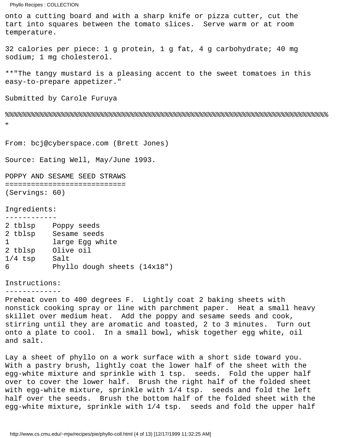onto a cutting board and with a sharp knife or pizza cutter, cut the tart into squares between the tomato slices. Serve warm or at room temperature.

32 calories per piece: 1 g protein, 1 g fat, 4 g carbohydrate; 40 mg sodium; 1 mg cholesterol.

\*\*"The tangy mustard is a pleasing accent to the sweet tomatoes in this easy-to-prepare appetizer."

Submitted by Carole Furuya

<span id="page-95-0"></span>%%%%%%%%%%%%%%%%%%%%%%%%%%%%%%%%%%%%%%%%%%%%%%%%%%%%%%%%%%%%%%%%%%%%%%%%%%% \*

From: bcj@cyberspace.com (Brett Jones)

Source: Eating Well, May/June 1993.

POPPY AND SESAME SEED STRAWS ============================ (Servings: 60)

Ingredients: ------------

| 2 tblsp   | Poppy seeds                  |
|-----------|------------------------------|
| 2 tblsp   | Sesame seeds                 |
|           | large Egg white              |
| 2 tblsp   | Olive oil                    |
| $1/4$ tsp | Salt                         |
| 6         | Phyllo dough sheets (14x18") |

Instructions: -------------

Preheat oven to 400 degrees F. Lightly coat 2 baking sheets with nonstick cooking spray or line with parchment paper. Heat a small heavy skillet over medium heat. Add the poppy and sesame seeds and cook, stirring until they are aromatic and toasted, 2 to 3 minutes. Turn out onto a plate to cool. In a small bowl, whisk together egg white, oil and salt.

Lay a sheet of phyllo on a work surface with a short side toward you. With a pastry brush, lightly coat the lower half of the sheet with the egg-white mixture and sprinkle with 1 tsp. seeds. Fold the upper half over to cover the lower half. Brush the right half of the folded sheet with egg-white mixture, sprinkle with 1/4 tsp. seeds and fold the left half over the seeds. Brush the bottom half of the folded sheet with the egg-white mixture, sprinkle with 1/4 tsp. seeds and fold the upper half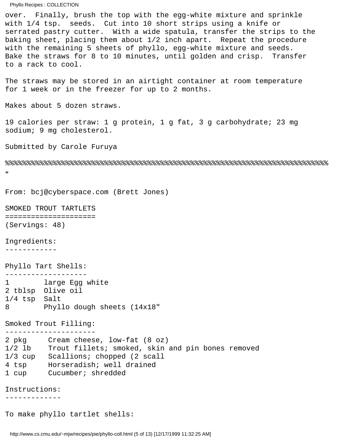over. Finally, brush the top with the egg-white mixture and sprinkle with 1/4 tsp. seeds. Cut into 10 short strips using a knife or serrated pastry cutter. With a wide spatula, transfer the strips to the baking sheet, placing them about 1/2 inch apart. Repeat the procedure with the remaining 5 sheets of phyllo, egg-white mixture and seeds. Bake the straws for 8 to 10 minutes, until golden and crisp. Transfer to a rack to cool.

The straws may be stored in an airtight container at room temperature for 1 week or in the freezer for up to 2 months.

Makes about 5 dozen straws.

19 calories per straw: 1 g protein, 1 g fat, 3 g carbohydrate; 23 mg sodium; 9 mg cholesterol.

Submitted by Carole Furuya

```
%%%%%%%%%%%%%%%%%%%%%%%%%%%%%%%%%%%%%%%%%%%%%%%%%%%%%%%%%%%%%%%%%%%%%%%%%%%
*
```
From: bcj@cyberspace.com (Brett Jones)

SMOKED TROUT TARTLETS ===================== (Servings: 48)

Ingredients: ------------

```
Phyllo Tart Shells:
-------------------
1 large Egg white
2 tblsp Olive oil
1/4 tsp Salt
8 Phyllo dough sheets (14x18"
```
Smoked Trout Filling: ---------------------

2 pkg Cream cheese, low-fat (8 oz) 1/2 lb Trout fillets; smoked, skin and pin bones removed 1/3 cup Scallions; chopped (2 scall 4 tsp Horseradish; well drained 1 cup Cucumber; shredded

Instructions:

-------------

```
To make phyllo tartlet shells:
```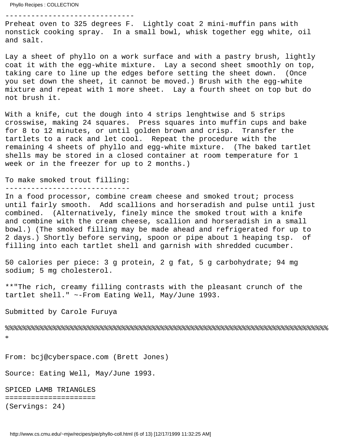#### ------------------------------

Preheat oven to 325 degrees F. Lightly coat 2 mini-muffin pans with nonstick cooking spray. In a small bowl, whisk together egg white, oil and salt.

Lay a sheet of phyllo on a work surface and with a pastry brush, lightly coat it with the egg-white mixture. Lay a second sheet smoothly on top, taking care to line up the edges before setting the sheet down. (Once you set down the sheet, it cannot be moved.) Brush with the egg-white mixture and repeat with 1 more sheet. Lay a fourth sheet on top but do not brush it.

With a knife, cut the dough into 4 strips lenghtwise and 5 strips crosswise, making 24 squares. Press squares into muffin cups and bake for 8 to 12 minutes, or until golden brown and crisp. Transfer the tartlets to a rack and let cool. Repeat the procedure with the remaining 4 sheets of phyllo and egg-white mixture. (The baked tartlet shells may be stored in a closed container at room temperature for 1 week or in the freezer for up to 2 months.)

#### To make smoked trout filling: -----------------------------

In a food processor, combine cream cheese and smoked trout; process until fairly smooth. Add scallions and horseradish and pulse until just combined. (Alternatively, finely mince the smoked trout with a knife and combine with the cream cheese, scallion and horseradish in a small bowl.) (The smoked filling may be made ahead and refrigerated for up to 2 days.) Shortly before serving, spoon or pipe about 1 heaping tsp. of filling into each tartlet shell and garnish with shredded cucumber.

50 calories per piece: 3 g protein, 2 g fat, 5 g carbohydrate; 94 mg sodium; 5 mg cholesterol.

\*\*"The rich, creamy filling contrasts with the pleasant crunch of the tartlet shell." ~-From Eating Well, May/June 1993.

Submitted by Carole Furuya

<span id="page-97-0"></span>%%%%%%%%%%%%%%%%%%%%%%%%%%%%%%%%%%%%%%%%%%%%%%%%%%%%%%%%%%%%%%%%%%%%%%%%%%% \*

From: bcj@cyberspace.com (Brett Jones)

Source: Eating Well, May/June 1993.

```
SPICED LAMB TRIANGLES
=====================
(Servings: 24)
```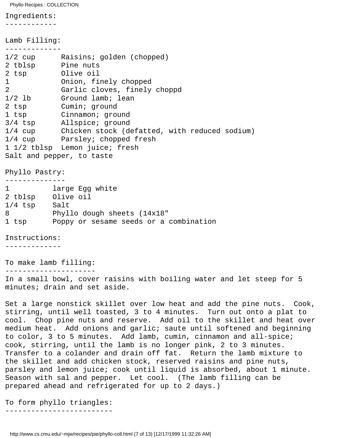Ingredients:

------------

Lamb Filling:

| $1/2$ cup                 | Raisins; golden (chopped)                     |  |
|---------------------------|-----------------------------------------------|--|
| 2 tblsp                   | Pine nuts                                     |  |
| 2 tsp                     | Olive oil                                     |  |
| $\mathbf{1}$              | Onion, finely chopped                         |  |
| $\overline{2}$            | Garlic cloves, finely choppd                  |  |
| $1/2$ lb                  | Ground lamb; lean                             |  |
| 2 tsp                     | Cumin; ground                                 |  |
|                           | 1 tsp Cinnamon; ground                        |  |
|                           | 3/4 tsp Allspice; ground                      |  |
| $1/4$ cup                 | Chicken stock (defatted, with reduced sodium) |  |
| $1/4$ cup                 | Parsley; chopped fresh                        |  |
|                           | 1 1/2 tblsp Lemon juice; fresh                |  |
| Salt and pepper, to taste |                                               |  |

Phyllo Pastry: --------------

| $\mathbf{1}$ | large Egg white                        |
|--------------|----------------------------------------|
| 2 tblsp      | Olive oil                              |
| $1/4$ tsp    | Salt                                   |
| 8            | Phyllo dough sheets (14x18"            |
| 1 tsp        | Poppy or sesame seeds or a combination |

Instructions:

-------------

To make lamb filling:

---------------------

In a small bowl, cover raisins with boiling water and let steep for 5 minutes; drain and set aside.

Set a large nonstick skillet over low heat and add the pine nuts. Cook, stirring, until well toasted, 3 to 4 minutes. Turn out onto a plat to cool. Chop pine nuts and reserve. Add oil to the skillet and heat over medium heat. Add onions and garlic; saute until softened and beginning to color, 3 to 5 minutes. Add lamb, cumin, cinnamon and all-spice; cook, stirring, until the lamb is no longer pink, 2 to 3 minutes. Transfer to a colander and drain off fat. Return the lamb mixture to the skillet and add chicken stock, reserved raisins and pine nuts, parsley and lemon juice; cook until liquid is absorbed, about 1 minute. Season with sal and pepper. Let cool. (The lamb filling can be prepared ahead and refrigerated for up to 2 days.)

To form phyllo triangles: -------------------------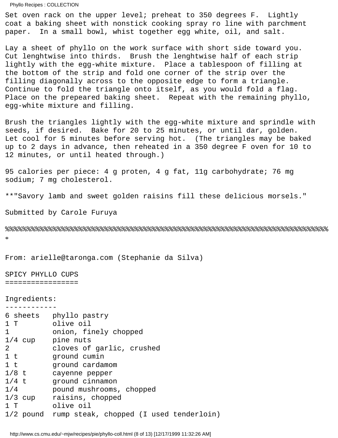Set oven rack on the upper level; preheat to 350 degrees F. Lightly coat a baking sheet with nonstick cooking spray ro line with parchment paper. In a small bowl, whist together egg white, oil, and salt.

Lay a sheet of phyllo on the work surface with short side toward you. Cut lenghtwise into thirds. Brush the lenghtwise half of each strip lightly with the egg-white mixture. Place a tablespoon of filling at the bottom of the strip and fold one corner of the strip over the filling diagonally across to the opposite edge to form a triangle. Continue to fold the triangle onto itself, as you would fold a flag. Place on the prepeared baking sheet. Repeat with the remaining phyllo, egg-white mixture and filling.

Brush the triangles lightly with the egg-white mixture and sprindle with seeds, if desired. Bake for 20 to 25 minutes, or until dar, golden. Let cool for 5 minutes before serving hot. (The triangles may be baked up to 2 days in advance, then reheated in a 350 degree F oven for 10 to 12 minutes, or until heated through.)

95 calories per piece: 4 g proten, 4 g fat, 11g carbohydrate; 76 mg sodium; 7 mg cholesterol.

\*\*"Savory lamb and sweet golden raisins fill these delicious morsels."

Submitted by Carole Furuya

<span id="page-99-0"></span>%%%%%%%%%%%%%%%%%%%%%%%%%%%%%%%%%%%%%%%%%%%%%%%%%%%%%%%%%%%%%%%%%%%%%%%%%%% \*

From: arielle@taronga.com (Stephanie da Silva)

SPICY PHYLLO CUPS =================

Ingredients:

------------

| 6 sheets<br>$1$ T | phyllo pastry<br>olive oil              |
|-------------------|-----------------------------------------|
|                   | onion, finely chopped                   |
| $1/4$ cup         | pine nuts                               |
| 2                 | cloves of garlic, crushed               |
| 1 <sub>t</sub>    | ground cumin                            |
| 1 <sub>t</sub>    | ground cardamom                         |
| $1/8$ t           | cayenne pepper                          |
| $1/4$ t           | ground cinnamon                         |
| 1/4               | pound mushrooms, chopped                |
| $1/3$ cup         | raisins, chopped                        |
| 1 T               | olive oil                               |
| $1/2$ pound       | rump steak, chopped (I used tenderloin) |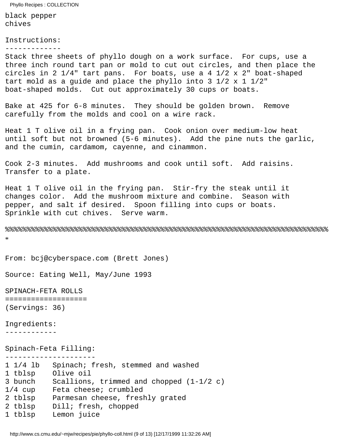black pepper chives

Instructions:

-------------

Stack three sheets of phyllo dough on a work surface. For cups, use a three inch round tart pan or mold to cut out circles, and then place the circles in 2 1/4" tart pans. For boats, use a 4 1/2 x 2" boat-shaped tart mold as a guide and place the phyllo into 3 1/2 x 1 1/2" boat-shaped molds. Cut out approximately 30 cups or boats.

Bake at 425 for 6-8 minutes. They should be golden brown. Remove carefully from the molds and cool on a wire rack.

Heat 1 T olive oil in a frying pan. Cook onion over medium-low heat until soft but not browned (5-6 minutes). Add the pine nuts the garlic, and the cumin, cardamom, cayenne, and cinammon.

Cook 2-3 minutes. Add mushrooms and cook until soft. Add raisins. Transfer to a plate.

Heat 1 T olive oil in the frying pan. Stir-fry the steak until it changes color. Add the mushroom mixture and combine. Season with pepper, and salt if desired. Spoon filling into cups or boats. Sprinkle with cut chives. Serve warm.

<span id="page-100-0"></span>%%%%%%%%%%%%%%%%%%%%%%%%%%%%%%%%%%%%%%%%%%%%%%%%%%%%%%%%%%%%%%%%%%%%%%%%%%% \*

From: bcj@cyberspace.com (Brett Jones)

Source: Eating Well, May/June 1993

```
SPINACH-FETA ROLLS
===================
(Servings: 36)
```
Ingredients:

------------

Spinach-Feta Filling: --------------------- 1 1/4 lb Spinach; fresh, stemmed and washed 1 tblsp Olive oil 3 bunch Scallions, trimmed and chopped (1-1/2 c) 1/4 cup Feta cheese; crumbled 2 tblsp Parmesan cheese, freshly grated 2 tblsp Dill; fresh, chopped 1 tblsp Lemon juice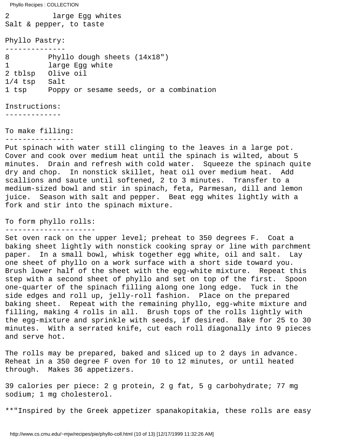2 large Egg whites Salt & pepper, to taste Phyllo Pastry: -------------- 8 Phyllo dough sheets (14x18") 1 large Egg white 2 tblsp Olive oil 1/4 tsp Salt 1 tsp Poppy or sesame seeds, or a combination

Instructions:

-------------

To make filling:

Phyllo Recipes : COLLECTION

----------------

Put spinach with water still clinging to the leaves in a large pot. Cover and cook over medium heat until the spinach is wilted, about 5 minutes. Drain and refresh with cold water. Squeeze the spinach quite dry and chop. In nonstick skillet, heat oil over medium heat. Add scallions and saute until softened, 2 to 3 minutes. Transfer to a medium-sized bowl and stir in spinach, feta, Parmesan, dill and lemon juice. Season with salt and pepper. Beat egg whites lightly with a fork and stir into the spinach mixture.

To form phyllo rolls: ---------------------

Set oven rack on the upper level; preheat to 350 degrees F. Coat a baking sheet lightly with nonstick cooking spray or line with parchment paper. In a small bowl, whisk together egg white, oil and salt. Lay one sheet of phyllo on a work surface with a short side toward you. Brush lower half of the sheet with the egg-white mixture. Repeat this step with a second sheet of phyllo and set on top of the first. Spoon one-quarter of the spinach filling along one long edge. Tuck in the side edges and roll up, jelly-roll fashion. Place on the prepared baking sheet. Repeat with the remaining phyllo, egg-white mixture and filling, making 4 rolls in all. Brush tops of the rolls lightly with the egg-mixture and sprinkle with seeds, if desired. Bake for 25 to 30 minutes. With a serrated knife, cut each roll diagonally into 9 pieces and serve hot.

The rolls may be prepared, baked and sliced up to 2 days in advance. Reheat in a 350 degree F oven for 10 to 12 minutes, or until heated through. Makes 36 appetizers.

39 calories per piece: 2 g protein, 2 g fat, 5 g carbohydrate; 77 mg sodium; 1 mg cholesterol.

\*\*"Inspired by the Greek appetizer spanakopitakia, these rolls are easy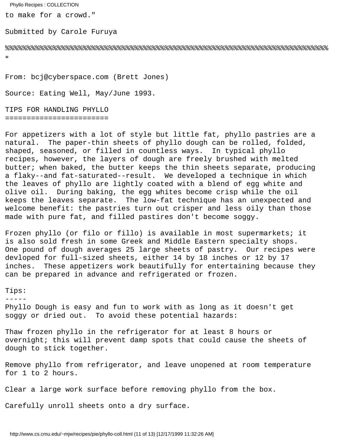to make for a crowd."

Submitted by Carole Furuya

<span id="page-102-0"></span>%%%%%%%%%%%%%%%%%%%%%%%%%%%%%%%%%%%%%%%%%%%%%%%%%%%%%%%%%%%%%%%%%%%%%%%%%%% \*

From: bcj@cyberspace.com (Brett Jones)

Source: Eating Well, May/June 1993.

TIPS FOR HANDLING PHYLLO ========================

For appetizers with a lot of style but little fat, phyllo pastries are a natural. The paper-thin sheets of phyllo dough can be rolled, folded, shaped, seasoned, or filled in countless ways. In typical phyllo recipes, however, the layers of dough are freely brushed with melted butter; when baked, the butter keeps the thin sheets separate, producing a flaky--and fat-saturated--result. We developed a technique in which the leaves of phyllo are lightly coated with a blend of egg white and olive oil. During baking, the egg whites become crisp while the oil keeps the leaves separate. The low-fat technique has an unexpected and welcome benefit: the pastries turn out crisper and less oily than those made with pure fat, and filled pastires don't become soggy.

Frozen phyllo (or filo or fillo) is available in most supermarkets; it is also sold fresh in some Greek and Middle Eastern specialty shops. One pound of dough averages 25 large sheets of pastry. Our recipes were devloped for full-sized sheets, either 14 by 18 inches or 12 by 17 inches. These appetizers work beautifully for entertaining because they can be prepared in advance and refrigerated or frozen.

Tips:

-----

Phyllo Dough is easy and fun to work with as long as it doesn't get soggy or dried out. To avoid these potential hazards:

Thaw frozen phyllo in the refrigerator for at least 8 hours or overnight; this will prevent damp spots that could cause the sheets of dough to stick together.

Remove phyllo from refrigerator, and leave unopened at room temperature for 1 to 2 hours.

Clear a large work surface before removing phyllo from the box.

Carefully unroll sheets onto a dry surface.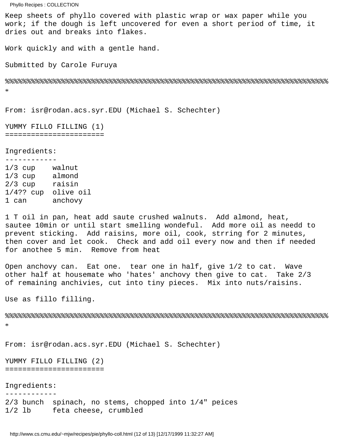```
Keep sheets of phyllo covered with plastic wrap or wax paper while you
work; if the dough is left uncovered for even a short period of time, it
dries out and breaks into flakes. 
Work quickly and with a gentle hand. 
Submitted by Carole Furuya
%%%%%%%%%%%%%%%%%%%%%%%%%%%%%%%%%%%%%%%%%%%%%%%%%%%%%%%%%%%%%%%%%%%%%%%%%%%
*
From: isr@rodan.acs.syr.EDU (Michael S. Schechter)
YUMMY FILLO FILLING (1)
=======================
Ingredients:
------------
1/3 cup walnut
1/3 cup almond
2/3 cup raisin
1/4?? cup olive oil
1 can anchovy
1 T oil in pan, heat add saute crushed walnuts. Add almond, heat,
sautee 10min or until start smelling wondeful. Add more oil as needd to
prevent sticking. Add raisins, more oil, cook, strring for 2 minutes,
then cover and let cook. Check and add oil every now and then if needed
for anothee 5 min. Remove from heat
Open anchovy can. Eat one. tear one in half, give 1/2 to cat. Wave
other half at housemate who 'hates' anchovy then give to cat. Take 2/3
of remaining anchivies, cut into tiny pieces. Mix into nuts/raisins. 
Use as fillo filling.
%%%%%%%%%%%%%%%%%%%%%%%%%%%%%%%%%%%%%%%%%%%%%%%%%%%%%%%%%%%%%%%%%%%%%%%%%%% 
*
From: isr@rodan.acs.syr.EDU (Michael S. Schechter)
YUMMY FILLO FILLING (2)
=======================
Ingredients:
------------
2/3 bunch spinach, no stems, chopped into 1/4" peices
1/2 lb feta cheese, crumbled
 Phyllo Recipes : COLLECTION
```